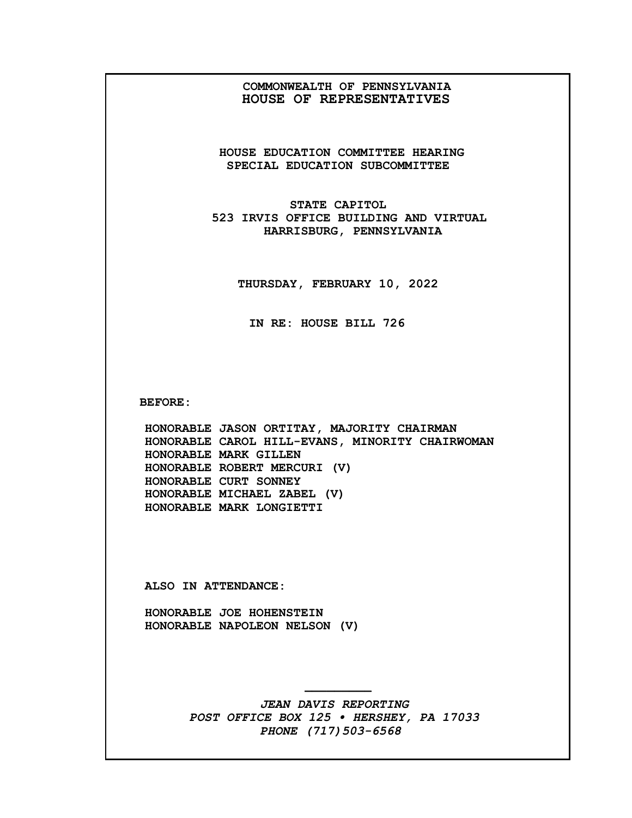## **COMMONWEALTH OF PENNSYLVANIA HOUSE OF REPRESENTATIVES**

**HOUSE EDUCATION COMMITTEE HEARING SPECIAL EDUCATION SUBCOMMITTEE**

**STATE CAPITOL 523 IRVIS OFFICE BUILDING AND VIRTUAL HARRISBURG, PENNSYLVANIA**

**THURSDAY, FEBRUARY 10, 2022**

**IN RE: HOUSE BILL 726**

**BEFORE:**

**HONORABLE JASON ORTITAY, MAJORITY CHAIRMAN HONORABLE CAROL HILL-EVANS, MINORITY CHAIRWOMAN HONORABLE MARK GILLEN HONORABLE ROBERT MERCURI (V) HONORABLE CURT SONNEY HONORABLE MICHAEL ZABEL (V) HONORABLE MARK LONGIETTI**

**ALSO IN ATTENDANCE:**

**HONORABLE JOE HOHENSTEIN HONORABLE NAPOLEON NELSON (V)**

> *JEAN DAVIS REPORTING POST OFFICE BOX 125 • HERSHEY, PA 17033 PHONE (717)503-6568*

**—————————**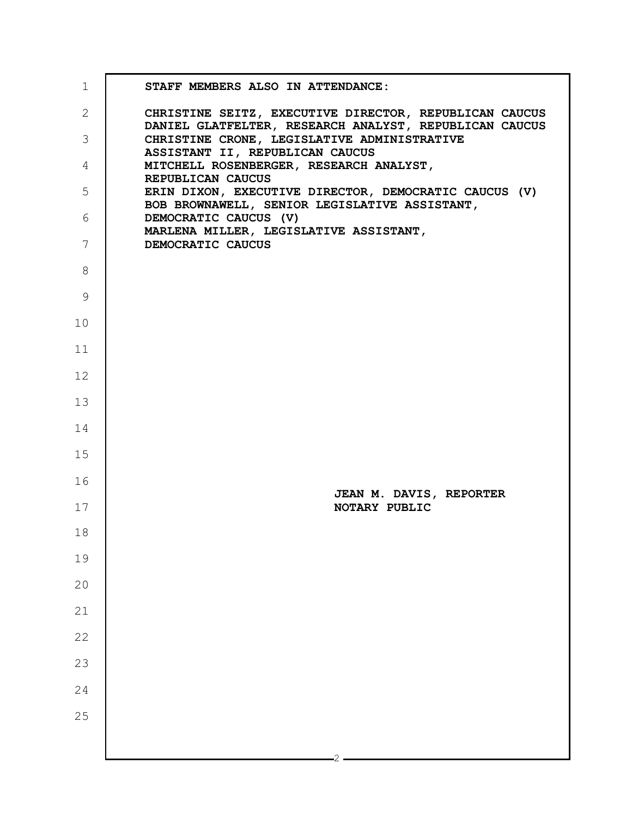| $\mathbf 1$  | STAFF MEMBERS ALSO IN ATTENDANCE:                                                                                |
|--------------|------------------------------------------------------------------------------------------------------------------|
| $\mathbf{2}$ | CHRISTINE SEITZ, EXECUTIVE DIRECTOR, REPUBLICAN CAUCUS<br>DANIEL GLATFELTER, RESEARCH ANALYST, REPUBLICAN CAUCUS |
| 3            | CHRISTINE CRONE, LEGISLATIVE ADMINISTRATIVE<br>ASSISTANT II, REPUBLICAN CAUCUS                                   |
| 4            | MITCHELL ROSENBERGER, RESEARCH ANALYST,                                                                          |
| 5            | REPUBLICAN CAUCUS<br>ERIN DIXON, EXECUTIVE DIRECTOR, DEMOCRATIC CAUCUS (V)                                       |
| 6            | BOB BROWNAWELL, SENIOR LEGISLATIVE ASSISTANT,<br>DEMOCRATIC CAUCUS (V)                                           |
| 7            | MARLENA MILLER, LEGISLATIVE ASSISTANT,<br>DEMOCRATIC CAUCUS                                                      |
| 8            |                                                                                                                  |
| 9            |                                                                                                                  |
| 10           |                                                                                                                  |
| 11           |                                                                                                                  |
| 12           |                                                                                                                  |
| 13           |                                                                                                                  |
| 14           |                                                                                                                  |
| 15           |                                                                                                                  |
| 16           | JEAN M. DAVIS, REPORTER                                                                                          |
| 17           | NOTARY PUBLIC                                                                                                    |
| 18           |                                                                                                                  |
| 19           |                                                                                                                  |
| 20           |                                                                                                                  |
| 21           |                                                                                                                  |
| 22           |                                                                                                                  |
| 23           |                                                                                                                  |
| 24           |                                                                                                                  |
| 25           |                                                                                                                  |
|              |                                                                                                                  |
|              |                                                                                                                  |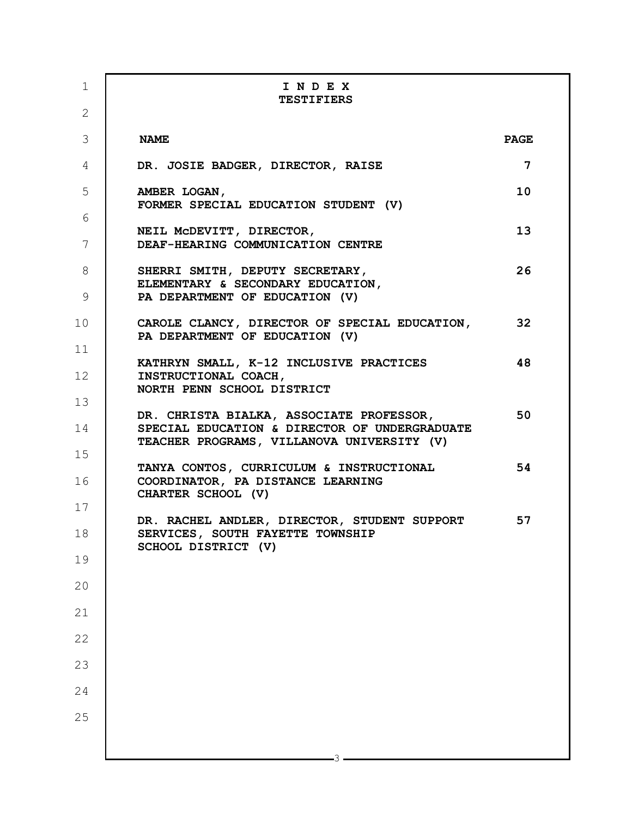| $\mathbf 1$     | INDEX<br><b>TESTIFIERS</b>                                                                          |             |
|-----------------|-----------------------------------------------------------------------------------------------------|-------------|
| $\overline{2}$  |                                                                                                     |             |
| 3               | <b>NAME</b>                                                                                         | <b>PAGE</b> |
| 4               | DR. JOSIE BADGER, DIRECTOR, RAISE                                                                   | 7           |
| 5               | AMBER LOGAN,<br>FORMER SPECIAL EDUCATION STUDENT (V)                                                | 10          |
| 6               | NEIL MCDEVITT, DIRECTOR,                                                                            | 13          |
| $7\phantom{.0}$ | DEAF-HEARING COMMUNICATION CENTRE                                                                   |             |
| 8               | SHERRI SMITH, DEPUTY SECRETARY,<br>ELEMENTARY & SECONDARY EDUCATION,                                | 26          |
| 9               | PA DEPARTMENT OF EDUCATION (V)                                                                      |             |
| 10              | CAROLE CLANCY, DIRECTOR OF SPECIAL EDUCATION,<br>PA DEPARTMENT OF EDUCATION (V)                     | 32          |
| 11              | KATHRYN SMALL, K-12 INCLUSIVE PRACTICES                                                             | 48          |
| 12              | INSTRUCTIONAL COACH,<br>NORTH PENN SCHOOL DISTRICT                                                  |             |
| 13              | DR. CHRISTA BIALKA, ASSOCIATE PROFESSOR,                                                            | 50          |
| 14              | SPECIAL EDUCATION & DIRECTOR OF UNDERGRADUATE<br>TEACHER PROGRAMS, VILLANOVA UNIVERSITY (V)         |             |
| 15<br>16        | TANYA CONTOS, CURRICULUM & INSTRUCTIONAL<br>COORDINATOR, PA DISTANCE LEARNING<br>CHARTER SCHOOL (V) | 54          |
| 17              | DR. RACHEL ANDLER, DIRECTOR, STUDENT SUPPORT                                                        | 57          |
| 18              | SERVICES, SOUTH FAYETTE TOWNSHIP<br>SCHOOL DISTRICT (V)                                             |             |
| 19              |                                                                                                     |             |
| 20              |                                                                                                     |             |
| 21              |                                                                                                     |             |
| 22              |                                                                                                     |             |
| 23              |                                                                                                     |             |
| 24              |                                                                                                     |             |
| 25              |                                                                                                     |             |
|                 |                                                                                                     |             |
|                 |                                                                                                     |             |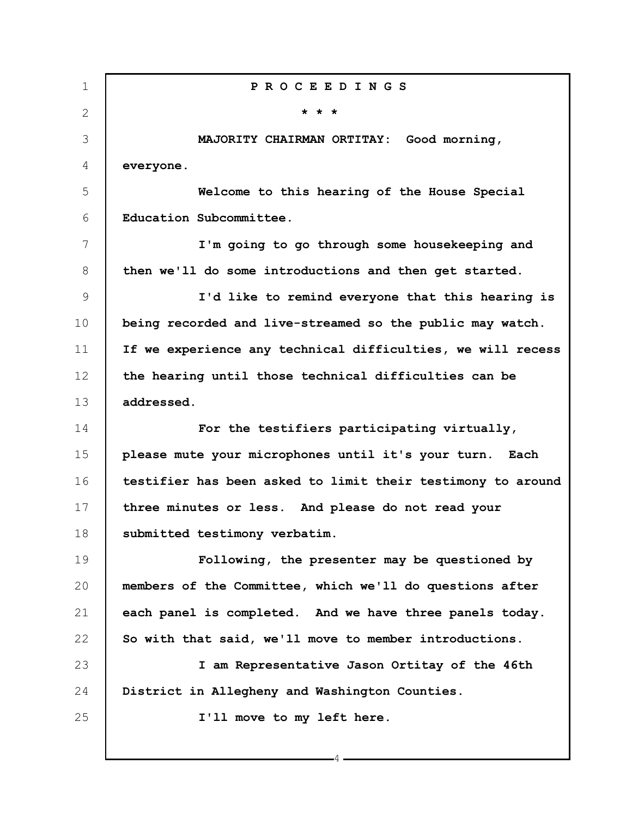1 2 3 4 5 6 7 8 9 10 11 12 13 14 15 16 17 18 19 20 21 22 23 24 25 **P R O C E E D I N G S \* \* \* MAJORITY CHAIRMAN ORTITAY: Good morning, everyone. Welcome to this hearing of the House Special Education Subcommittee. I'm going to go through some housekeeping and then we'll do some introductions and then get started. I'd like to remind everyone that this hearing is being recorded and live-streamed so the public may watch. If we experience any technical difficulties, we will recess the hearing until those technical difficulties can be addressed. For the testifiers participating virtually, please mute your microphones until it's your turn. Each testifier has been asked to limit their testimony to around three minutes or less. And please do not read your submitted testimony verbatim. Following, the presenter may be questioned by members of the Committee, which we'll do questions after each panel is completed. And we have three panels today. So with that said, we'll move to member introductions. I am Representative Jason Ortitay of the 46th District in Allegheny and Washington Counties. I'll move to my left here.**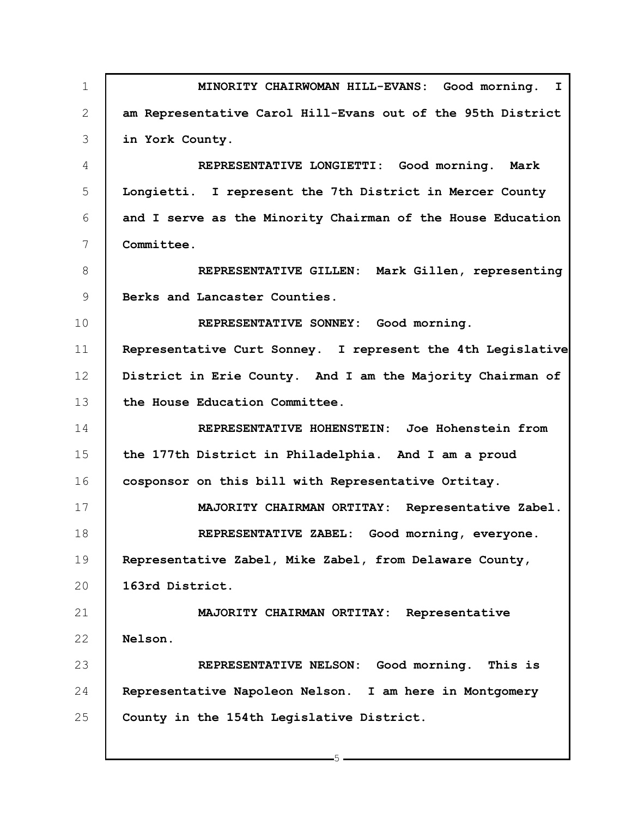1 2 3 4 5 6 7 8 9 10 11 12 13 14 15 16 17 18 19 20 21 22 23 24 25 **MINORITY CHAIRWOMAN HILL-EVANS: Good morning. I am Representative Carol Hill-Evans out of the 95th District in York County. REPRESENTATIVE LONGIETTI: Good morning. Mark Longietti. I represent the 7th District in Mercer County and I serve as the Minority Chairman of the House Education Committee. REPRESENTATIVE GILLEN: Mark Gillen, representing Berks and Lancaster Counties. REPRESENTATIVE SONNEY: Good morning. Representative Curt Sonney. I represent the 4th Legislative District in Erie County. And I am the Majority Chairman of the House Education Committee. REPRESENTATIVE HOHENSTEIN: Joe Hohenstein from the 177th District in Philadelphia. And I am a proud cosponsor on this bill with Representative Ortitay. MAJORITY CHAIRMAN ORTITAY: Representative Zabel. REPRESENTATIVE ZABEL: Good morning, everyone. Representative Zabel, Mike Zabel, from Delaware County, 163rd District. MAJORITY CHAIRMAN ORTITAY: Representative Nelson. REPRESENTATIVE NELSON: Good morning. This is Representative Napoleon Nelson. I am here in Montgomery County in the 154th Legislative District.**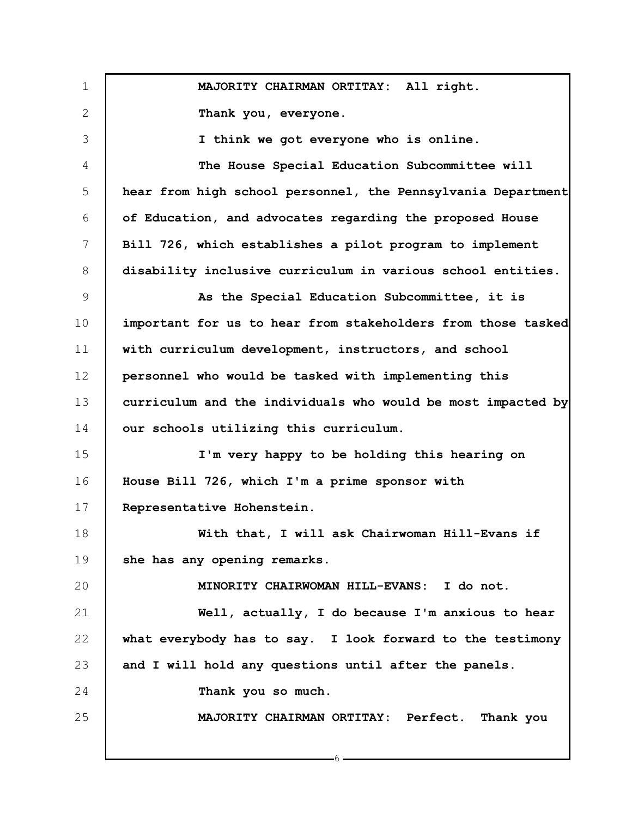1 2 3 4 5 6 7 8 9 10 11 12 13 14 15 16 17 18 19 20 21 22 23 24 25 **MAJORITY CHAIRMAN ORTITAY: All right. Thank you, everyone. I think we got everyone who is online. The House Special Education Subcommittee will hear from high school personnel, the Pennsylvania Department of Education, and advocates regarding the proposed House Bill 726, which establishes a pilot program to implement disability inclusive curriculum in various school entities. As the Special Education Subcommittee, it is important for us to hear from stakeholders from those tasked with curriculum development, instructors, and school personnel who would be tasked with implementing this curriculum and the individuals who would be most impacted by our schools utilizing this curriculum. I'm very happy to be holding this hearing on House Bill 726, which I'm a prime sponsor with Representative Hohenstein. With that, I will ask Chairwoman Hill-Evans if she has any opening remarks. MINORITY CHAIRWOMAN HILL-EVANS: I do not. Well, actually, I do because I'm anxious to hear what everybody has to say. I look forward to the testimony and I will hold any questions until after the panels. Thank you so much. MAJORITY CHAIRMAN ORTITAY: Perfect. Thank you**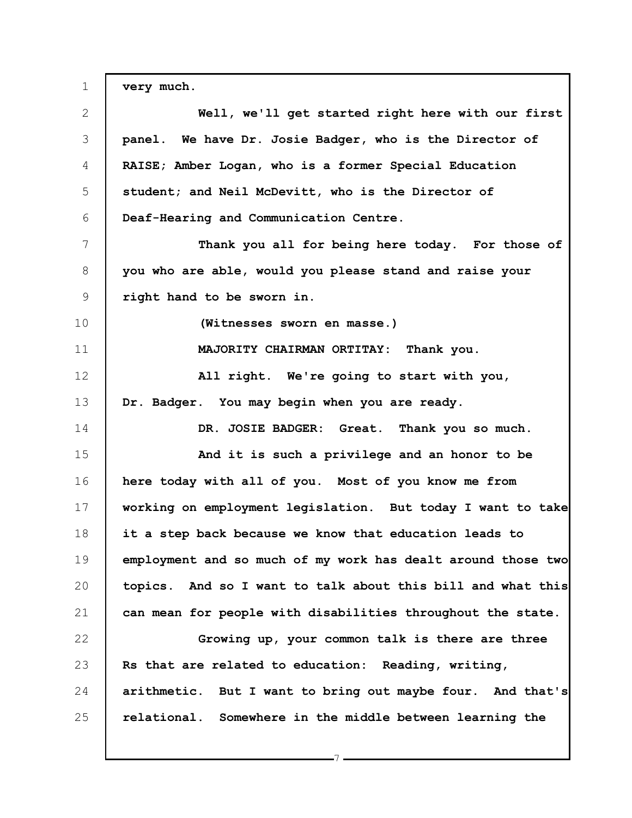1 2 3 4 5 6 7 8 9 10 11 12 13 14 15 16 17 18 19 20 21 22 23 24 25 **very much. Well, we'll get started right here with our first panel. We have Dr. Josie Badger, who is the Director of RAISE; Amber Logan, who is a former Special Education student; and Neil McDevitt, who is the Director of Deaf-Hearing and Communication Centre. Thank you all for being here today. For those of you who are able, would you please stand and raise your right hand to be sworn in. (Witnesses sworn en masse.) MAJORITY CHAIRMAN ORTITAY: Thank you. All right. We're going to start with you, Dr. Badger. You may begin when you are ready. DR. JOSIE BADGER: Great. Thank you so much. And it is such a privilege and an honor to be here today with all of you. Most of you know me from working on employment legislation. But today I want to take it a step back because we know that education leads to employment and so much of my work has dealt around those two topics. And so I want to talk about this bill and what this can mean for people with disabilities throughout the state. Growing up, your common talk is there are three Rs that are related to education: Reading, writing, arithmetic. But I want to bring out maybe four. And that's relational. Somewhere in the middle between learning the**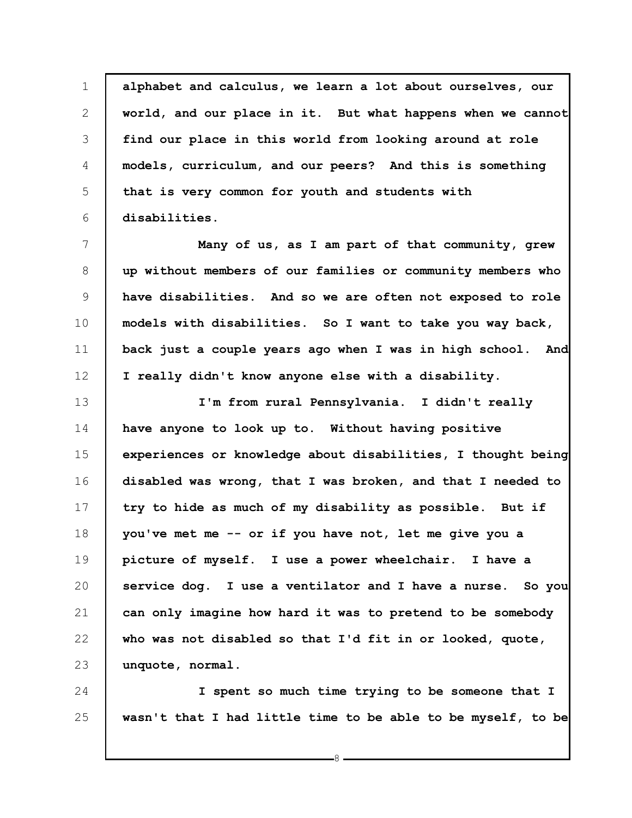1 2 3 4 5 6 **alphabet and calculus, we learn a lot about ourselves, our world, and our place in it. But what happens when we cannot find our place in this world from looking around at role models, curriculum, and our peers? And this is something that is very common for youth and students with disabilities.**

7 8 9 10 11 12 **Many of us, as I am part of that community, grew up without members of our families or community members who have disabilities. And so we are often not exposed to role models with disabilities. So I want to take you way back, back just a couple years ago when I was in high school. And I really didn't know anyone else with a disability.**

13 14 15 16 17 18 19 20 21 22 23 **I'm from rural Pennsylvania. I didn't really have anyone to look up to. Without having positive experiences or knowledge about disabilities, I thought being disabled was wrong, that I was broken, and that I needed to try to hide as much of my disability as possible. But if you've met me -- or if you have not, let me give you a picture of myself. I use a power wheelchair. I have a service dog. I use a ventilator and I have a nurse. So you can only imagine how hard it was to pretend to be somebody who was not disabled so that I'd fit in or looked, quote, unquote, normal.**

24 25 **I spent so much time trying to be someone that I wasn't that I had little time to be able to be myself, to be**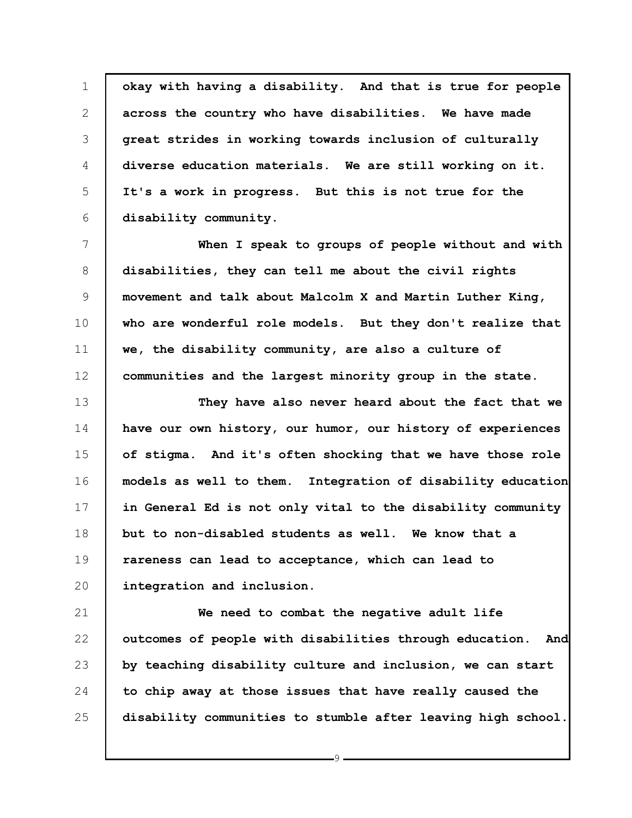1 2 3 4 5 6 **okay with having a disability. And that is true for people across the country who have disabilities. We have made great strides in working towards inclusion of culturally diverse education materials. We are still working on it. It's a work in progress. But this is not true for the disability community.**

7 8 9 10 11 12 **When I speak to groups of people without and with disabilities, they can tell me about the civil rights movement and talk about Malcolm X and Martin Luther King, who are wonderful role models. But they don't realize that we, the disability community, are also a culture of communities and the largest minority group in the state.**

13 14 15 16 17 18 19 20 **They have also never heard about the fact that we have our own history, our humor, our history of experiences of stigma. And it's often shocking that we have those role models as well to them. Integration of disability education in General Ed is not only vital to the disability community but to non-disabled students as well. We know that a rareness can lead to acceptance, which can lead to integration and inclusion.**

21 22 23 24 25 **We need to combat the negative adult life outcomes of people with disabilities through education. And by teaching disability culture and inclusion, we can start to chip away at those issues that have really caused the disability communities to stumble after leaving high school.**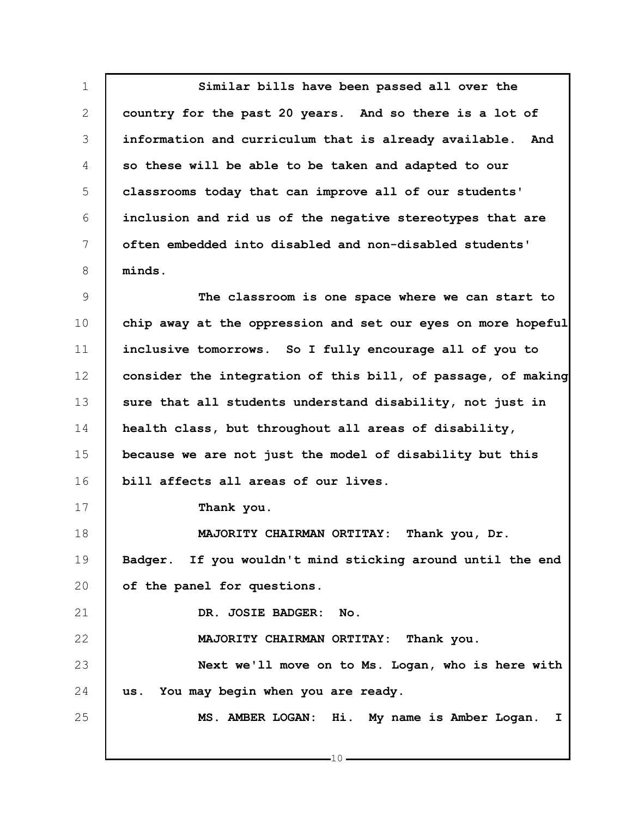1 2 3 4 5 6 7 8 **Similar bills have been passed all over the country for the past 20 years. And so there is a lot of information and curriculum that is already available. And so these will be able to be taken and adapted to our classrooms today that can improve all of our students' inclusion and rid us of the negative stereotypes that are often embedded into disabled and non-disabled students' minds.**

9 10 11 12 13 14 15 16 **The classroom is one space where we can start to chip away at the oppression and set our eyes on more hopeful inclusive tomorrows. So I fully encourage all of you to consider the integration of this bill, of passage, of making sure that all students understand disability, not just in health class, but throughout all areas of disability, because we are not just the model of disability but this bill affects all areas of our lives.**

**Thank you.**

17

21

22

25

18 19 20 **MAJORITY CHAIRMAN ORTITAY: Thank you, Dr. Badger. If you wouldn't mind sticking around until the end of the panel for questions.**

**DR. JOSIE BADGER: No.**

**MAJORITY CHAIRMAN ORTITAY: Thank you.**

23 24 **Next we'll move on to Ms. Logan, who is here with us. You may begin when you are ready.**

**MS. AMBER LOGAN: Hi. My name is Amber Logan. I**

 $-10$ .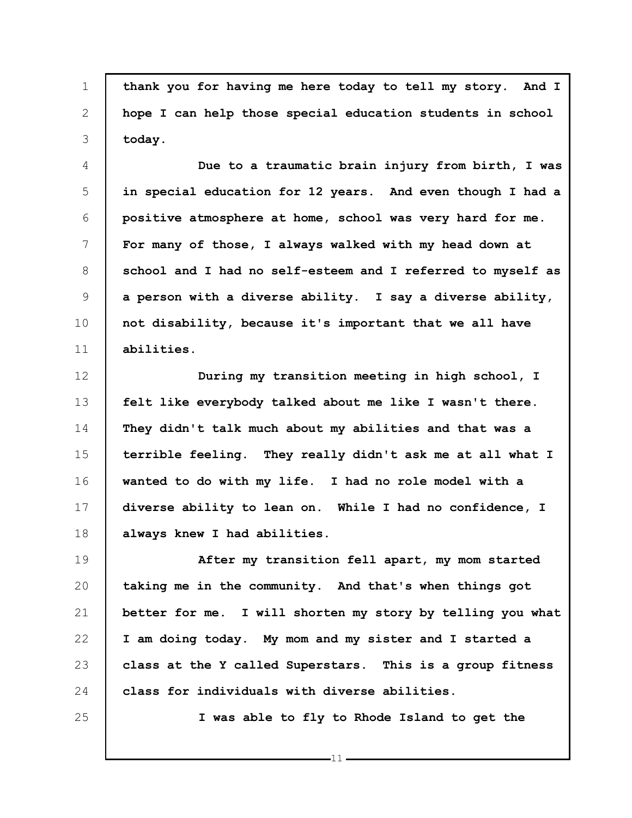1 **thank you for having me here today to tell my story. And I hope I can help those special education students in school today.**

4 5 6 7 8 9 10 11 **Due to a traumatic brain injury from birth, I was in special education for 12 years. And even though I had a positive atmosphere at home, school was very hard for me. For many of those, I always walked with my head down at school and I had no self-esteem and I referred to myself as a person with a diverse ability. I say a diverse ability, not disability, because it's important that we all have abilities.**

12 13 14 15 16 17 18 **During my transition meeting in high school, I felt like everybody talked about me like I wasn't there. They didn't talk much about my abilities and that was a terrible feeling. They really didn't ask me at all what I wanted to do with my life. I had no role model with a diverse ability to lean on. While I had no confidence, I always knew I had abilities.**

19 20 21 22 23 24 **After my transition fell apart, my mom started taking me in the community. And that's when things got better for me. I will shorten my story by telling you what I am doing today. My mom and my sister and I started a class at the Y called Superstars. This is a group fitness class for individuals with diverse abilities.**

25

2

3

**I was able to fly to Rhode Island to get the**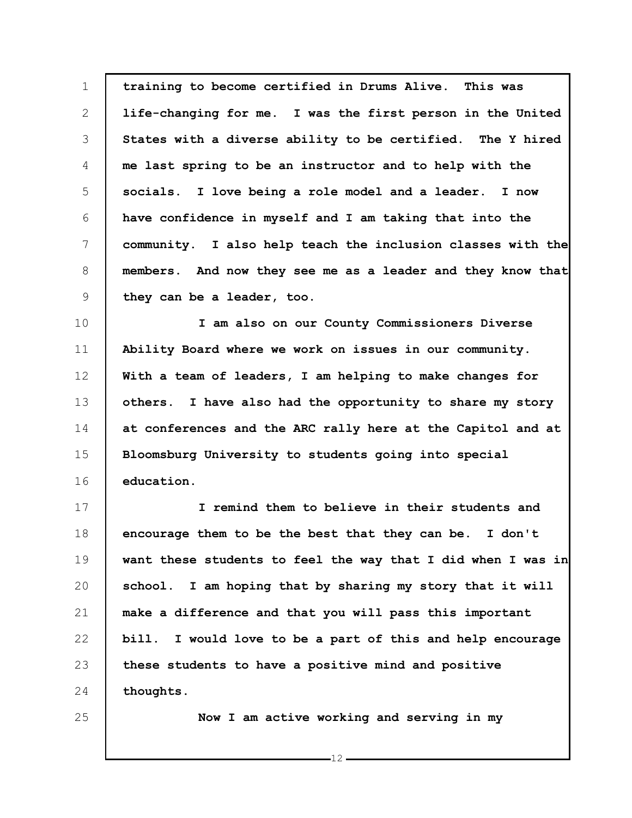1 2 3 4 5 6 7 8 9 **training to become certified in Drums Alive. This was life-changing for me. I was the first person in the United States with a diverse ability to be certified. The Y hired me last spring to be an instructor and to help with the socials. I love being a role model and a leader. I now have confidence in myself and I am taking that into the community. I also help teach the inclusion classes with the members. And now they see me as a leader and they know that they can be a leader, too.**

10 11 12 13 14 15 16 **I am also on our County Commissioners Diverse Ability Board where we work on issues in our community. With a team of leaders, I am helping to make changes for others. I have also had the opportunity to share my story at conferences and the ARC rally here at the Capitol and at Bloomsburg University to students going into special education.**

17 18 19 20 21 22 23 24 **I remind them to believe in their students and encourage them to be the best that they can be. I don't want these students to feel the way that I did when I was in school. I am hoping that by sharing my story that it will make a difference and that you will pass this important bill. I would love to be a part of this and help encourage these students to have a positive mind and positive thoughts.**

25

**Now I am active working and serving in my**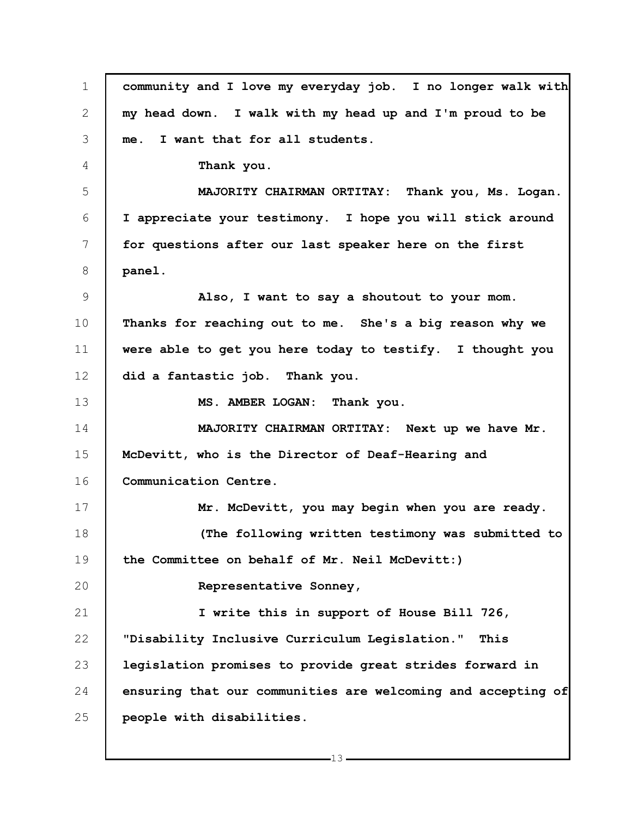1 2 3 4 5 6 7 8 9 10 11 12 13 14 15 16 17 18 19 20 21 22 23 24 25 **community and I love my everyday job. I no longer walk with my head down. I walk with my head up and I'm proud to be me. I want that for all students. Thank you. MAJORITY CHAIRMAN ORTITAY: Thank you, Ms. Logan. I appreciate your testimony. I hope you will stick around for questions after our last speaker here on the first panel. Also, I want to say a shoutout to your mom. Thanks for reaching out to me. She's a big reason why we were able to get you here today to testify. I thought you did a fantastic job. Thank you. MS. AMBER LOGAN: Thank you. MAJORITY CHAIRMAN ORTITAY: Next up we have Mr. McDevitt, who is the Director of Deaf-Hearing and Communication Centre. Mr. McDevitt, you may begin when you are ready. (The following written testimony was submitted to the Committee on behalf of Mr. Neil McDevitt:) Representative Sonney, I write this in support of House Bill 726, "Disability Inclusive Curriculum Legislation." This legislation promises to provide great strides forward in ensuring that our communities are welcoming and accepting of people with disabilities.**

 $-13$ .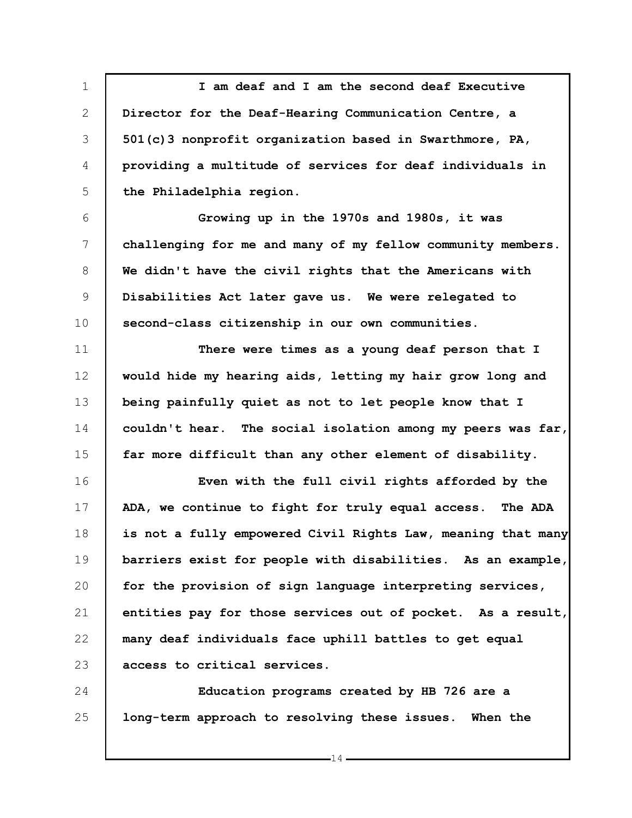1 2 3 4 5 **I am deaf and I am the second deaf Executive Director for the Deaf-Hearing Communication Centre, a 501(c)3 nonprofit organization based in Swarthmore, PA, providing a multitude of services for deaf individuals in the Philadelphia region.**

6 7 8 9 10 **Growing up in the 1970s and 1980s, it was challenging for me and many of my fellow community members. We didn't have the civil rights that the Americans with Disabilities Act later gave us. We were relegated to second-class citizenship in our own communities.**

11 12 13 14 15 **There were times as a young deaf person that I would hide my hearing aids, letting my hair grow long and being painfully quiet as not to let people know that I couldn't hear. The social isolation among my peers was far, far more difficult than any other element of disability.**

16 17 18 19 20 21 22 23 **Even with the full civil rights afforded by the ADA, we continue to fight for truly equal access. The ADA is not a fully empowered Civil Rights Law, meaning that many barriers exist for people with disabilities. As an example, for the provision of sign language interpreting services, entities pay for those services out of pocket. As a result, many deaf individuals face uphill battles to get equal access to critical services.**

24 25 **Education programs created by HB 726 are a long-term approach to resolving these issues. When the**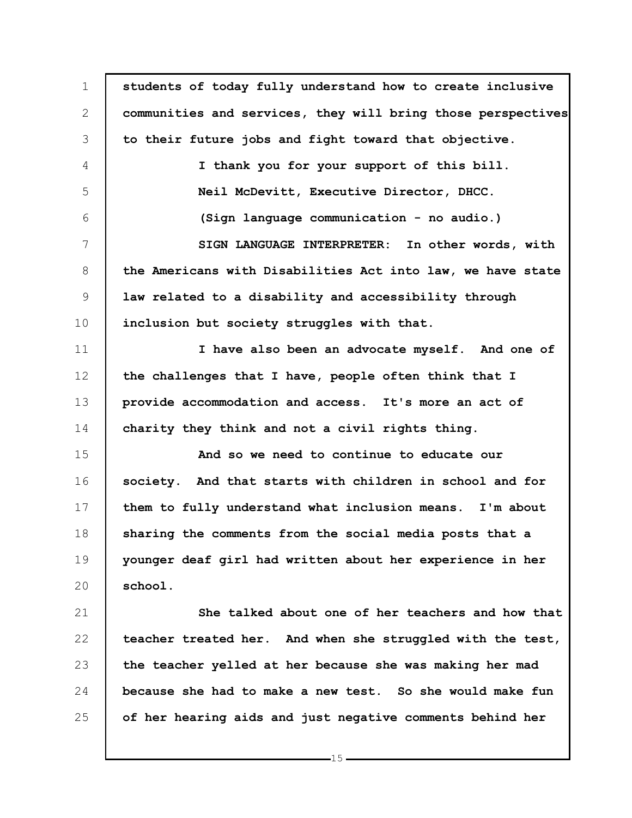| $\mathbf 1$  | students of today fully understand how to create inclusive   |
|--------------|--------------------------------------------------------------|
| $\mathbf{2}$ | communities and services, they will bring those perspectives |
| 3            | to their future jobs and fight toward that objective.        |
| 4            | I thank you for your support of this bill.                   |
| 5            | Neil McDevitt, Executive Director, DHCC.                     |
| 6            | (Sign language communication - no audio.)                    |
| 7            | SIGN LANGUAGE INTERPRETER: In other words, with              |
| 8            | the Americans with Disabilities Act into law, we have state  |
| 9            | law related to a disability and accessibility through        |
| 10           | inclusion but society struggles with that.                   |
| 11           | I have also been an advocate myself. And one of              |
| 12           | the challenges that I have, people often think that I        |
| 13           | provide accommodation and access. It's more an act of        |
| 14           | charity they think and not a civil rights thing.             |
| 15           | And so we need to continue to educate our                    |
| 16           | society. And that starts with children in school and for     |
| 17           | them to fully understand what inclusion means. I'm about     |
| 18           | sharing the comments from the social media posts that a      |
| 19           | younger deaf girl had written about her experience in her    |
| 20           | school.                                                      |
| 21           | She talked about one of her teachers and how that            |
| 22           | teacher treated her. And when she struggled with the test,   |
| 23           | the teacher yelled at her because she was making her mad     |
| 24           | because she had to make a new test. So she would make fun    |
| 25           | of her hearing aids and just negative comments behind her    |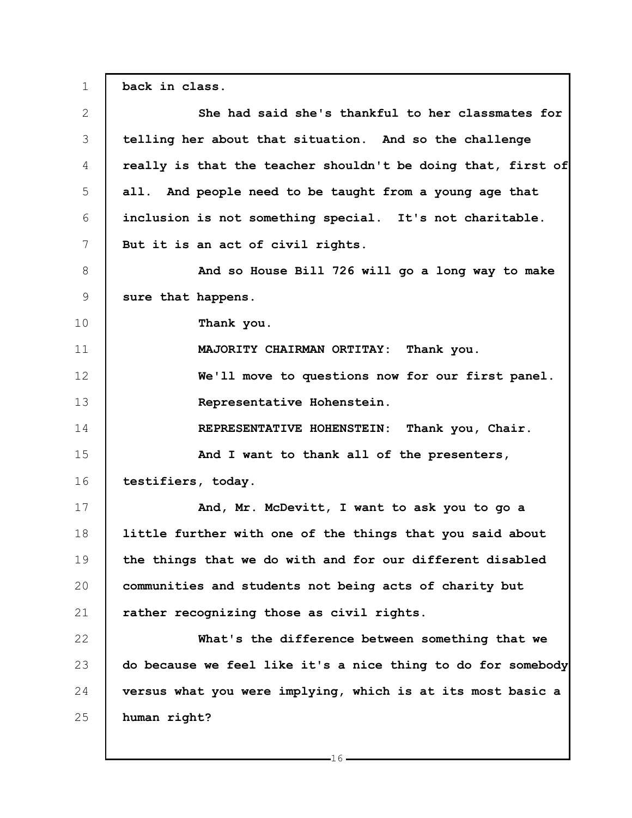1 2 3 4 5 6 7 8 9 10 11 12 13 14 15 16 17 18 19 20 21 22 23 24 25 **back in class. She had said she's thankful to her classmates for telling her about that situation. And so the challenge really is that the teacher shouldn't be doing that, first of all. And people need to be taught from a young age that inclusion is not something special. It's not charitable. But it is an act of civil rights. And so House Bill 726 will go a long way to make sure that happens. Thank you. MAJORITY CHAIRMAN ORTITAY: Thank you. We'll move to questions now for our first panel. Representative Hohenstein. REPRESENTATIVE HOHENSTEIN: Thank you, Chair. And I want to thank all of the presenters, testifiers, today. And, Mr. McDevitt, I want to ask you to go a little further with one of the things that you said about the things that we do with and for our different disabled communities and students not being acts of charity but rather recognizing those as civil rights. What's the difference between something that we do because we feel like it's a nice thing to do for somebody versus what you were implying, which is at its most basic a human right?**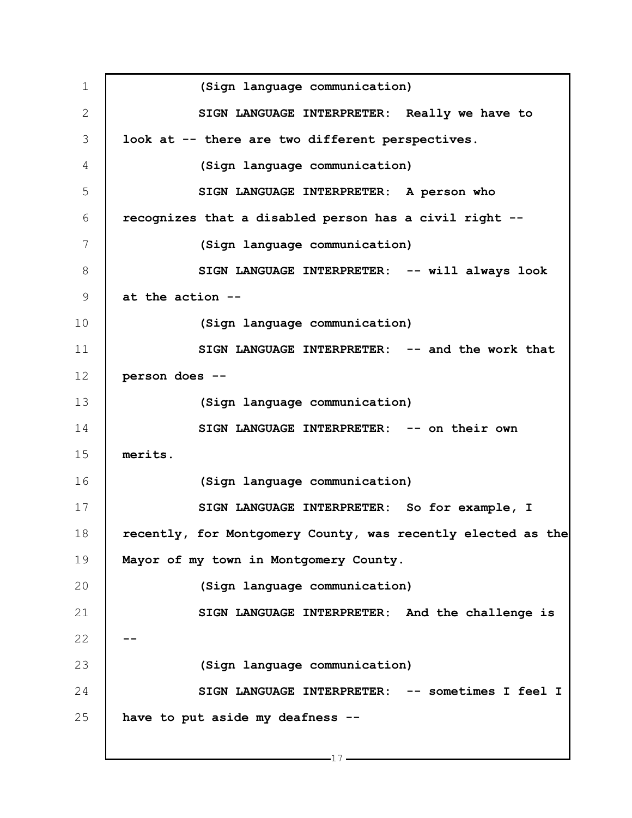1 2 3 4 5 6 7 8 9 10 11 12 13 14 15 16 17 18 19 20 21 22 23 24 25 **(Sign language communication) SIGN LANGUAGE INTERPRETER: Really we have to look at -- there are two different perspectives. (Sign language communication) SIGN LANGUAGE INTERPRETER: A person who recognizes that a disabled person has a civil right -- (Sign language communication) SIGN LANGUAGE INTERPRETER: -- will always look at the action -- (Sign language communication) SIGN LANGUAGE INTERPRETER: -- and the work that person does -- (Sign language communication) SIGN LANGUAGE INTERPRETER: -- on their own merits. (Sign language communication) SIGN LANGUAGE INTERPRETER: So for example, I recently, for Montgomery County, was recently elected as the Mayor of my town in Montgomery County. (Sign language communication) SIGN LANGUAGE INTERPRETER: And the challenge is -- (Sign language communication) SIGN LANGUAGE INTERPRETER: -- sometimes I feel I have to put aside my deafness --**

 $-17-$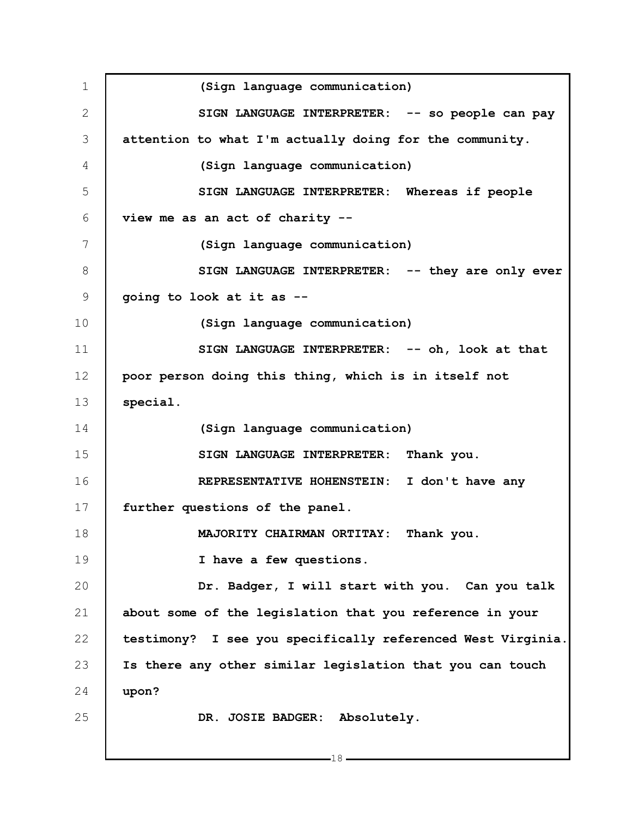1 2 3 4 5 6 7 8 9 10 11 12 13 14 15 16 17 18 19 20 21 22 23 24 25 **(Sign language communication) SIGN LANGUAGE INTERPRETER: -- so people can pay attention to what I'm actually doing for the community. (Sign language communication) SIGN LANGUAGE INTERPRETER: Whereas if people view me as an act of charity -- (Sign language communication) SIGN LANGUAGE INTERPRETER: -- they are only ever going to look at it as -- (Sign language communication) SIGN LANGUAGE INTERPRETER: -- oh, look at that poor person doing this thing, which is in itself not special. (Sign language communication) SIGN LANGUAGE INTERPRETER: Thank you. REPRESENTATIVE HOHENSTEIN: I don't have any further questions of the panel. MAJORITY CHAIRMAN ORTITAY: Thank you. I have a few questions. Dr. Badger, I will start with you. Can you talk about some of the legislation that you reference in your testimony? I see you specifically referenced West Virginia. Is there any other similar legislation that you can touch upon? DR. JOSIE BADGER: Absolutely.**

 $-18-$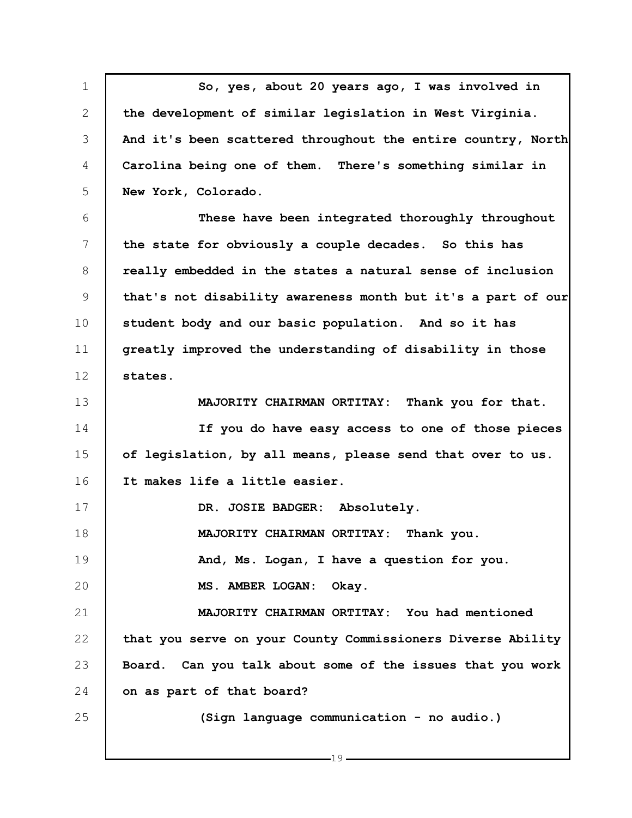1 2 3 4 5 6 7 8 9 10 11 12 13 14 15 16 17 18 19 20 21 22 23 24 25 **So, yes, about 20 years ago, I was involved in the development of similar legislation in West Virginia. And it's been scattered throughout the entire country, North Carolina being one of them. There's something similar in New York, Colorado. These have been integrated thoroughly throughout the state for obviously a couple decades. So this has really embedded in the states a natural sense of inclusion that's not disability awareness month but it's a part of our student body and our basic population. And so it has greatly improved the understanding of disability in those states. MAJORITY CHAIRMAN ORTITAY: Thank you for that. If you do have easy access to one of those pieces of legislation, by all means, please send that over to us. It makes life a little easier. DR. JOSIE BADGER: Absolutely. MAJORITY CHAIRMAN ORTITAY: Thank you. And, Ms. Logan, I have a question for you. MS. AMBER LOGAN: Okay. MAJORITY CHAIRMAN ORTITAY: You had mentioned that you serve on your County Commissioners Diverse Ability Board. Can you talk about some of the issues that you work on as part of that board? (Sign language communication - no audio.)**

 $-19$ .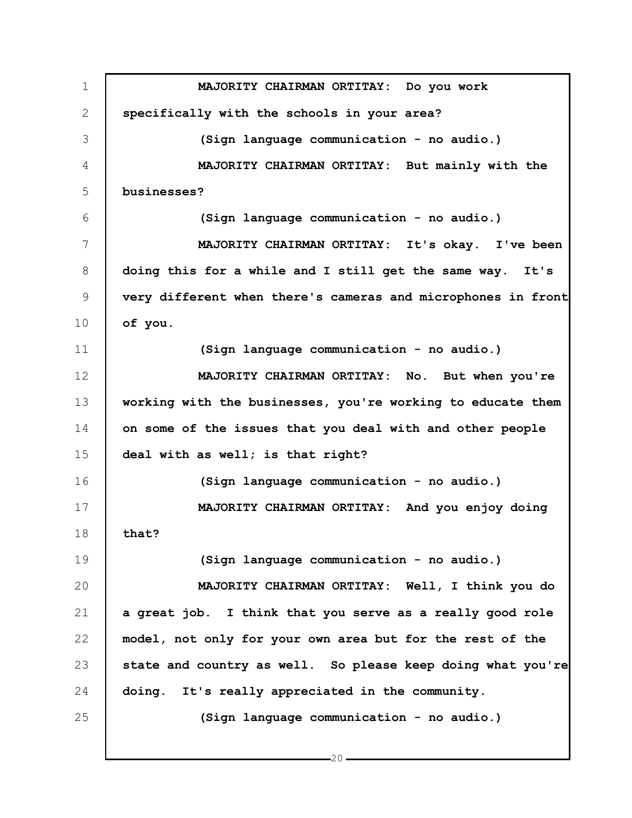1 2 3 4 5 6 7 8 9 10 11 12 13 14 15 16 17 18 19 20 21 22 23 24 25 **MAJORITY CHAIRMAN ORTITAY: Do you work specifically with the schools in your area? (Sign language communication - no audio.) MAJORITY CHAIRMAN ORTITAY: But mainly with the businesses? (Sign language communication - no audio.) MAJORITY CHAIRMAN ORTITAY: It's okay. I've been doing this for a while and I still get the same way. It's very different when there's cameras and microphones in front of you. (Sign language communication - no audio.) MAJORITY CHAIRMAN ORTITAY: No. But when you're working with the businesses, you're working to educate them on some of the issues that you deal with and other people deal with as well; is that right? (Sign language communication - no audio.) MAJORITY CHAIRMAN ORTITAY: And you enjoy doing that? (Sign language communication - no audio.) MAJORITY CHAIRMAN ORTITAY: Well, I think you do a great job. I think that you serve as a really good role model, not only for your own area but for the rest of the state and country as well. So please keep doing what you're doing. It's really appreciated in the community. (Sign language communication - no audio.)**

 $-20-$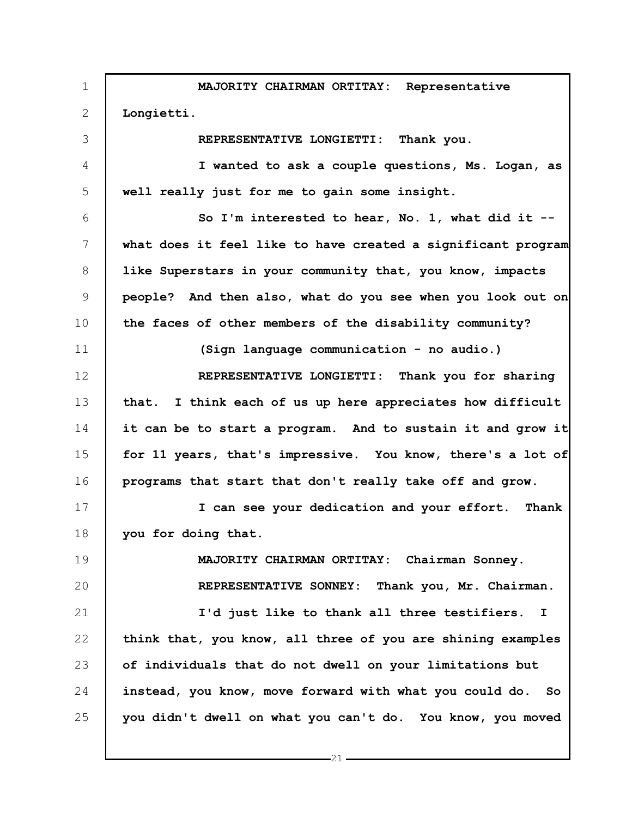1 2 3 4 5 6 7 8 9 10 11 12 13 14 15 16 17 18 19 20 21 22 23 24 25 **MAJORITY CHAIRMAN ORTITAY: Representative Longietti. REPRESENTATIVE LONGIETTI: Thank you. I wanted to ask a couple questions, Ms. Logan, as well really just for me to gain some insight. So I'm interested to hear, No. 1, what did it - what does it feel like to have created a significant program like Superstars in your community that, you know, impacts people? And then also, what do you see when you look out on the faces of other members of the disability community? (Sign language communication - no audio.) REPRESENTATIVE LONGIETTI: Thank you for sharing that. I think each of us up here appreciates how difficult it can be to start a program. And to sustain it and grow it for 11 years, that's impressive. You know, there's a lot of programs that start that don't really take off and grow. I can see your dedication and your effort. Thank you for doing that. MAJORITY CHAIRMAN ORTITAY: Chairman Sonney. REPRESENTATIVE SONNEY: Thank you, Mr. Chairman. I'd just like to thank all three testifiers. I think that, you know, all three of you are shining examples of individuals that do not dwell on your limitations but instead, you know, move forward with what you could do. So you didn't dwell on what you can't do. You know, you moved**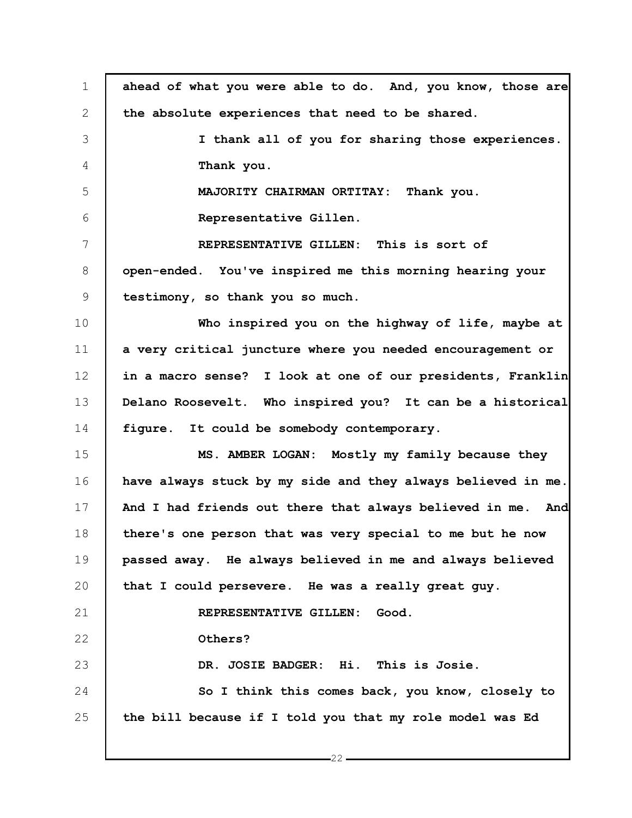| $\mathbf 1$ | ahead of what you were able to do. And, you know, those are  |
|-------------|--------------------------------------------------------------|
| 2           | the absolute experiences that need to be shared.             |
| 3           | I thank all of you for sharing those experiences.            |
| 4           | Thank you.                                                   |
| 5           | MAJORITY CHAIRMAN ORTITAY:<br>Thank you.                     |
| 6           | Representative Gillen.                                       |
| 7           | REPRESENTATIVE GILLEN: This is sort of                       |
| 8           | open-ended. You've inspired me this morning hearing your     |
| 9           | testimony, so thank you so much.                             |
| 10          | Who inspired you on the highway of life, maybe at            |
| 11          | a very critical juncture where you needed encouragement or   |
| 12          | in a macro sense? I look at one of our presidents, Franklin  |
| 13          | Delano Roosevelt. Who inspired you? It can be a historical   |
| 14          | figure. It could be somebody contemporary.                   |
| 15          | MS. AMBER LOGAN: Mostly my family because they               |
| 16          | have always stuck by my side and they always believed in me. |
| 17          | And I had friends out there that always believed in me. And  |
| 18          | there's one person that was very special to me but he now    |
| 19          | passed away. He always believed in me and always believed    |
| 20          | that I could persevere. He was a really great guy.           |
| 21          | REPRESENTATIVE GILLEN:<br>Good.                              |
| 22          | Others?                                                      |
| 23          | DR. JOSIE BADGER: Hi. This is Josie.                         |
| 24          | So I think this comes back, you know, closely to             |
| 25          | the bill because if I told you that my role model was Ed     |
|             |                                                              |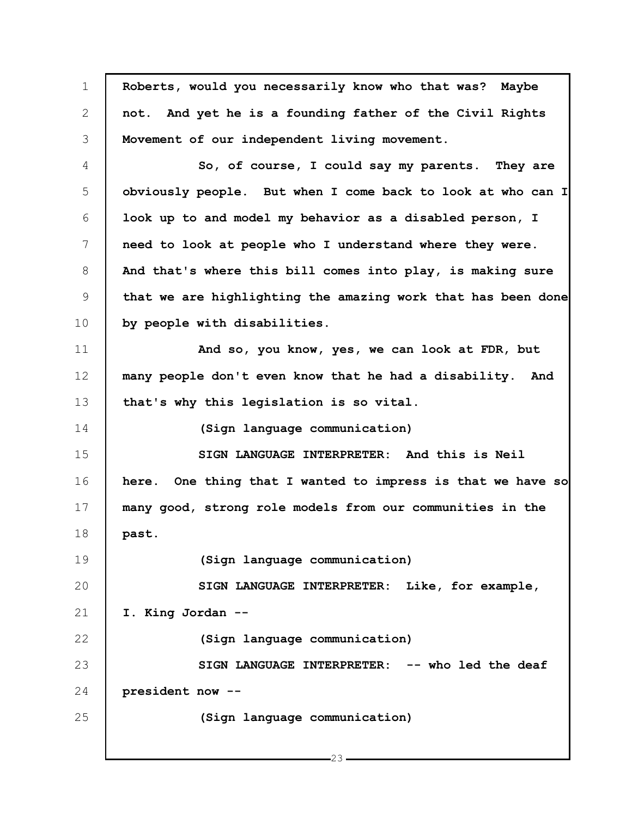| $\mathbf 1$ | Roberts, would you necessarily know who that was? Maybe      |
|-------------|--------------------------------------------------------------|
| 2           | not. And yet he is a founding father of the Civil Rights     |
| 3           | Movement of our independent living movement.                 |
| 4           | So, of course, I could say my parents. They are              |
| 5           | obviously people. But when I come back to look at who can I  |
| 6           | look up to and model my behavior as a disabled person, I     |
| 7           | need to look at people who I understand where they were.     |
| 8           | And that's where this bill comes into play, is making sure   |
| 9           | that we are highlighting the amazing work that has been done |
| 10          | by people with disabilities.                                 |
| 11          | And so, you know, yes, we can look at FDR, but               |
| 12          | many people don't even know that he had a disability. And    |
| 13          | that's why this legislation is so vital.                     |
| 14          | (Sign language communication)                                |
| 15          | SIGN LANGUAGE INTERPRETER: And this is Neil                  |
| 16          | here. One thing that I wanted to impress is that we have so  |
| 17          | many good, strong role models from our communities in the    |
| 18          | past.                                                        |
| 19          | (Sign language communication)                                |
| 20          | SIGN LANGUAGE INTERPRETER: Like, for example,                |
| 21          | I. King Jordan --                                            |
| 22          | (Sign language communication)                                |
| 23          | SIGN LANGUAGE INTERPRETER: -- who led the deaf               |
| 24          | president now --                                             |
| 25          | (Sign language communication)                                |
|             |                                                              |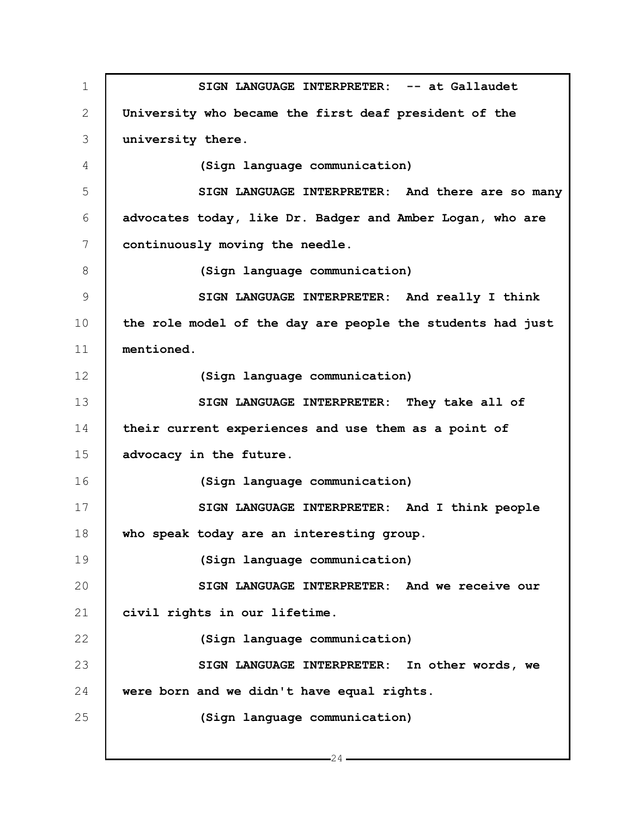1 2 3 4 5 6 7 8 9 10 11 12 13 14 15 16 17 18 19 20 21 22 23 24 25 **SIGN LANGUAGE INTERPRETER: -- at Gallaudet University who became the first deaf president of the university there. (Sign language communication) SIGN LANGUAGE INTERPRETER: And there are so many advocates today, like Dr. Badger and Amber Logan, who are continuously moving the needle. (Sign language communication) SIGN LANGUAGE INTERPRETER: And really I think the role model of the day are people the students had just mentioned. (Sign language communication) SIGN LANGUAGE INTERPRETER: They take all of their current experiences and use them as a point of advocacy in the future. (Sign language communication) SIGN LANGUAGE INTERPRETER: And I think people who speak today are an interesting group. (Sign language communication) SIGN LANGUAGE INTERPRETER: And we receive our civil rights in our lifetime. (Sign language communication) SIGN LANGUAGE INTERPRETER: In other words, we were born and we didn't have equal rights. (Sign language communication)**

 $-24-$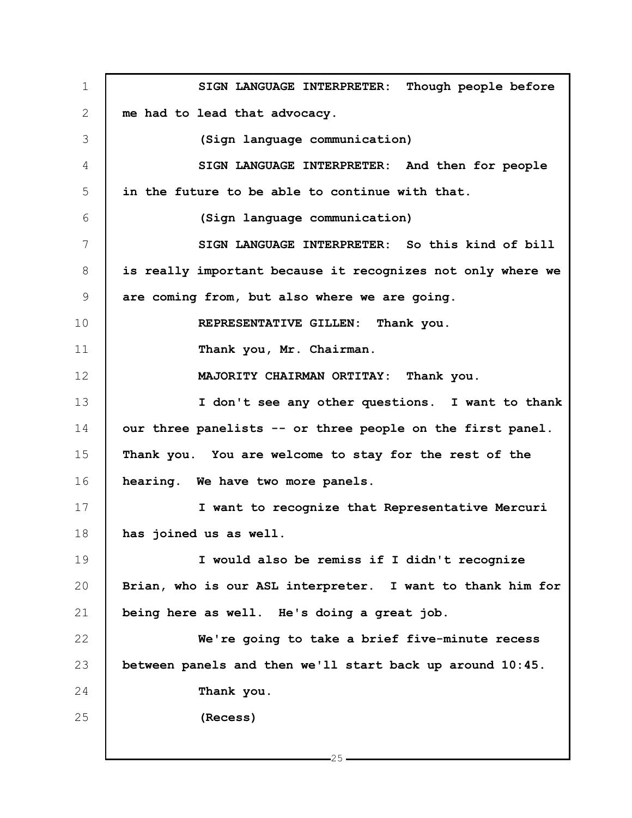1 2 3 4 5 6 7 8 9 10 11 12 13 14 15 16 17 18 19 20 21 22 23 24 25 **SIGN LANGUAGE INTERPRETER: Though people before me had to lead that advocacy. (Sign language communication) SIGN LANGUAGE INTERPRETER: And then for people in the future to be able to continue with that. (Sign language communication) SIGN LANGUAGE INTERPRETER: So this kind of bill is really important because it recognizes not only where we are coming from, but also where we are going. REPRESENTATIVE GILLEN: Thank you. Thank you, Mr. Chairman. MAJORITY CHAIRMAN ORTITAY: Thank you. I don't see any other questions. I want to thank our three panelists -- or three people on the first panel. Thank you. You are welcome to stay for the rest of the hearing. We have two more panels. I want to recognize that Representative Mercuri has joined us as well. I would also be remiss if I didn't recognize Brian, who is our ASL interpreter. I want to thank him for being here as well. He's doing a great job. We're going to take a brief five-minute recess between panels and then we'll start back up around 10:45. Thank you. (Recess)**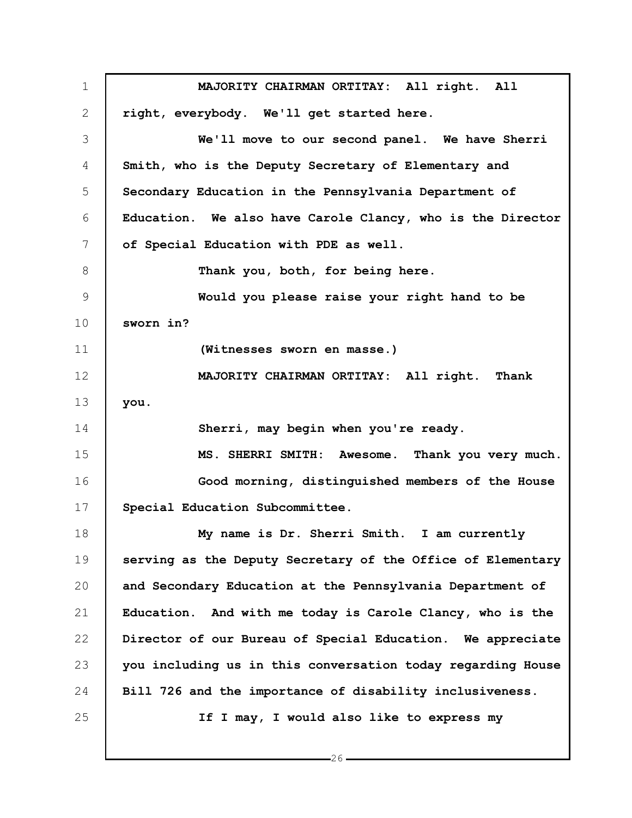1 2 3 4 5 6 7 8 9 10 11 12 13 14 15 16 17 18 19 20 21 22 23 24 25 **MAJORITY CHAIRMAN ORTITAY: All right. All right, everybody. We'll get started here. We'll move to our second panel. We have Sherri Smith, who is the Deputy Secretary of Elementary and Secondary Education in the Pennsylvania Department of Education. We also have Carole Clancy, who is the Director of Special Education with PDE as well. Thank you, both, for being here. Would you please raise your right hand to be sworn in? (Witnesses sworn en masse.) MAJORITY CHAIRMAN ORTITAY: All right. Thank you. Sherri, may begin when you're ready. MS. SHERRI SMITH: Awesome. Thank you very much. Good morning, distinguished members of the House Special Education Subcommittee. My name is Dr. Sherri Smith. I am currently serving as the Deputy Secretary of the Office of Elementary and Secondary Education at the Pennsylvania Department of Education. And with me today is Carole Clancy, who is the Director of our Bureau of Special Education. We appreciate you including us in this conversation today regarding House Bill 726 and the importance of disability inclusiveness. If I may, I would also like to express my**

 $-26-$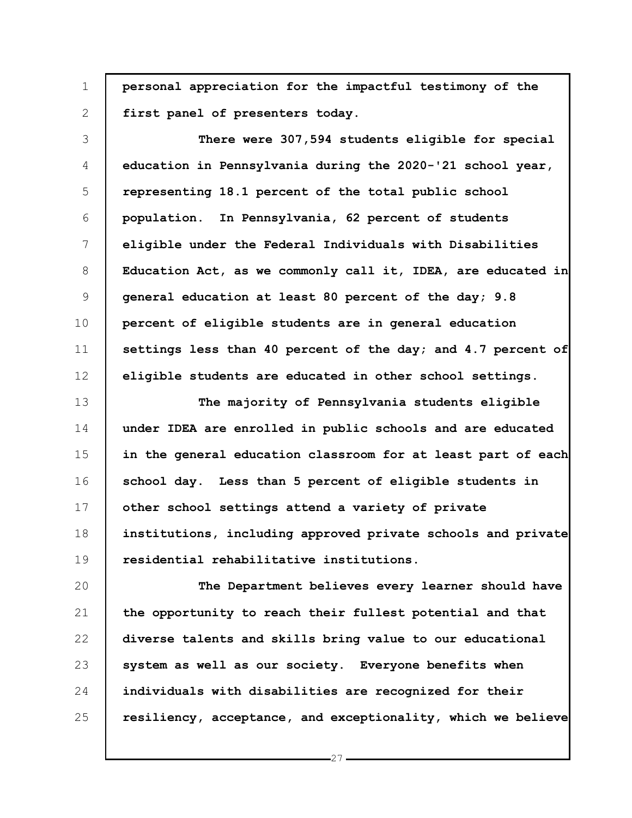1 **personal appreciation for the impactful testimony of the first panel of presenters today.**

2

3 4 5 6 7 8 9 10 11 12 **There were 307,594 students eligible for special education in Pennsylvania during the 2020-'21 school year, representing 18.1 percent of the total public school population. In Pennsylvania, 62 percent of students eligible under the Federal Individuals with Disabilities Education Act, as we commonly call it, IDEA, are educated in general education at least 80 percent of the day; 9.8 percent of eligible students are in general education settings less than 40 percent of the day; and 4.7 percent of eligible students are educated in other school settings.**

13 14 15 16 17 18 19 **The majority of Pennsylvania students eligible under IDEA are enrolled in public schools and are educated in the general education classroom for at least part of each school day. Less than 5 percent of eligible students in other school settings attend a variety of private institutions, including approved private schools and private residential rehabilitative institutions.**

20 21 22 23 24 25 **The Department believes every learner should have the opportunity to reach their fullest potential and that diverse talents and skills bring value to our educational system as well as our society. Everyone benefits when individuals with disabilities are recognized for their resiliency, acceptance, and exceptionality, which we believe**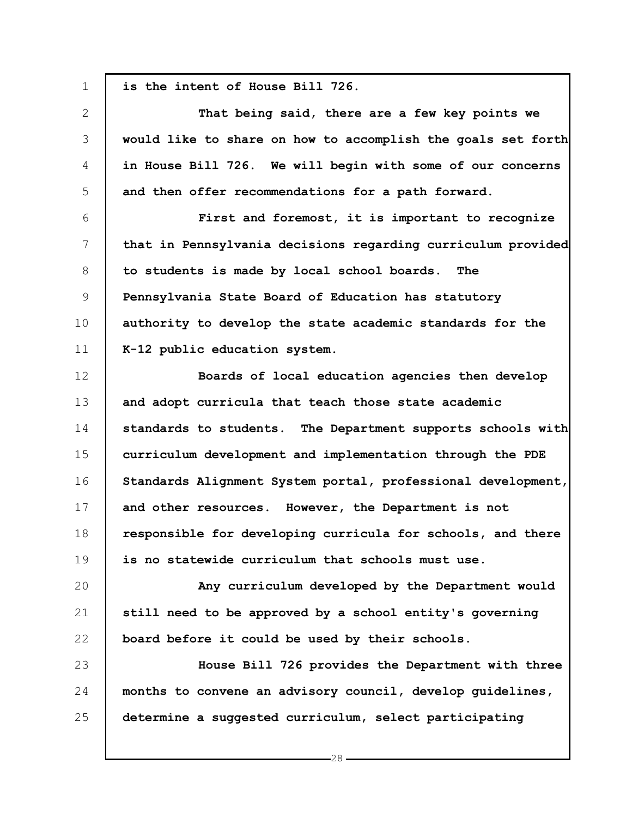1 2 3 4 5 6 7 8 9 10 11 12 13 14 15 16 17 18 19 20 21 22 23 24 25 **is the intent of House Bill 726. That being said, there are a few key points we would like to share on how to accomplish the goals set forth in House Bill 726. We will begin with some of our concerns and then offer recommendations for a path forward. First and foremost, it is important to recognize that in Pennsylvania decisions regarding curriculum provided to students is made by local school boards. The Pennsylvania State Board of Education has statutory authority to develop the state academic standards for the K-12 public education system. Boards of local education agencies then develop and adopt curricula that teach those state academic standards to students. The Department supports schools with curriculum development and implementation through the PDE Standards Alignment System portal, professional development, and other resources. However, the Department is not responsible for developing curricula for schools, and there is no statewide curriculum that schools must use. Any curriculum developed by the Department would still need to be approved by a school entity's governing board before it could be used by their schools. House Bill 726 provides the Department with three months to convene an advisory council, develop guidelines, determine a suggested curriculum, select participating**

 $-28-$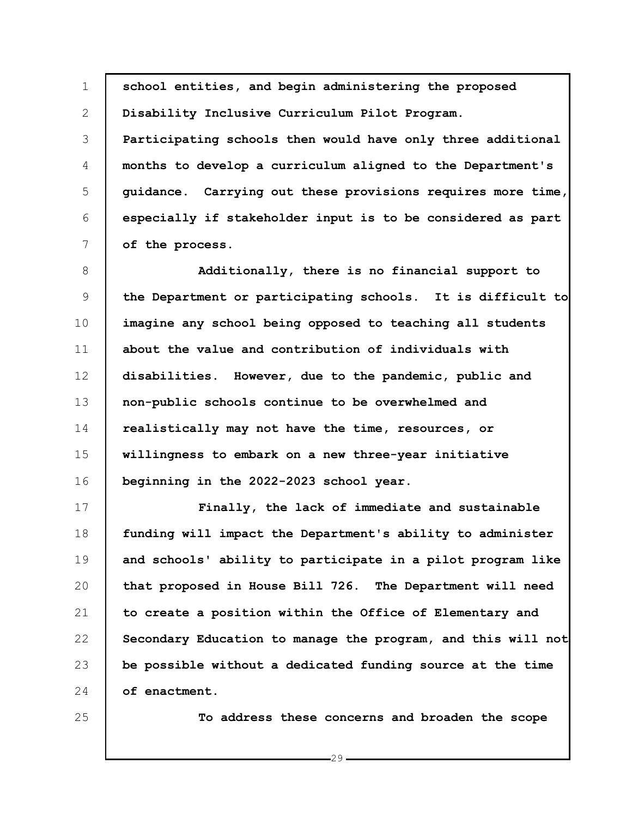1 2 3 4 5 6 7 8 9 10 11 12 13 14 15 16 17 18 19 20 21 22 23 24 **school entities, and begin administering the proposed Disability Inclusive Curriculum Pilot Program. Participating schools then would have only three additional months to develop a curriculum aligned to the Department's guidance. Carrying out these provisions requires more time, especially if stakeholder input is to be considered as part of the process. Additionally, there is no financial support to the Department or participating schools. It is difficult to imagine any school being opposed to teaching all students about the value and contribution of individuals with disabilities. However, due to the pandemic, public and non-public schools continue to be overwhelmed and realistically may not have the time, resources, or willingness to embark on a new three-year initiative beginning in the 2022-2023 school year. Finally, the lack of immediate and sustainable funding will impact the Department's ability to administer and schools' ability to participate in a pilot program like that proposed in House Bill 726. The Department will need to create a position within the Office of Elementary and Secondary Education to manage the program, and this will not be possible without a dedicated funding source at the time of enactment.**

25

**To address these concerns and broaden the scope**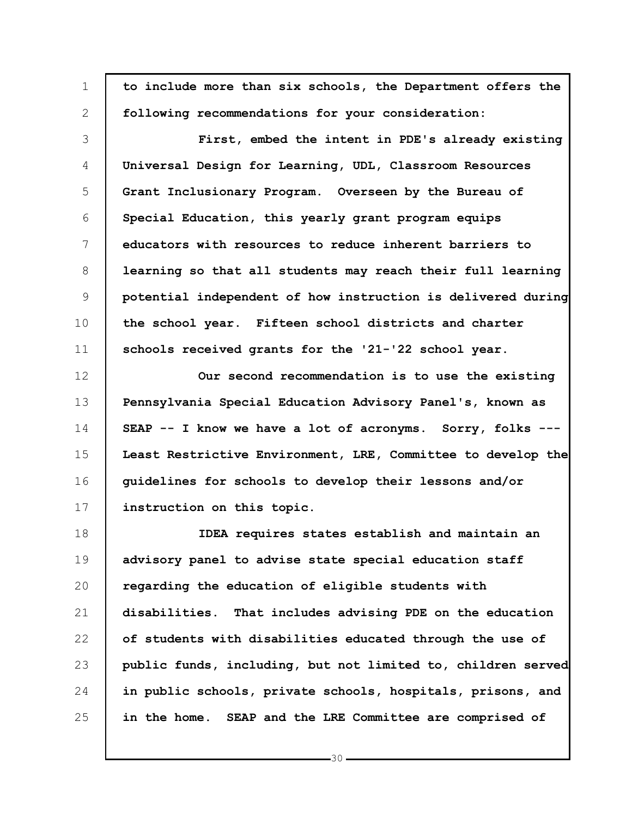| $\mathbf 1$    | to include more than six schools, the Department offers the  |
|----------------|--------------------------------------------------------------|
| 2              | following recommendations for your consideration:            |
| 3              | First, embed the intent in PDE's already existing            |
| $\overline{4}$ | Universal Design for Learning, UDL, Classroom Resources      |
| 5              | Grant Inclusionary Program. Overseen by the Bureau of        |
| 6              | Special Education, this yearly grant program equips          |
| 7              | educators with resources to reduce inherent barriers to      |
| 8              | learning so that all students may reach their full learning  |
| 9              | potential independent of how instruction is delivered during |
| 10             | the school year. Fifteen school districts and charter        |
| 11             | schools received grants for the '21-'22 school year.         |
| 12             | Our second recommendation is to use the existing             |
| 13             | Pennsylvania Special Education Advisory Panel's, known as    |
| 14             | SEAP -- I know we have a lot of acronyms. Sorry, folks ---   |
| 15             | Least Restrictive Environment, LRE, Committee to develop the |
| 16             | quidelines for schools to develop their lessons and/or       |
| 17             | instruction on this topic.                                   |
| 18             | IDEA requires states establish and maintain an               |
| 19             | advisory panel to advise state special education staff       |
| 20             | regarding the education of eligible students with            |
| 21             | disabilities. That includes advising PDE on the education    |
| 22             | of students with disabilities educated through the use of    |
| 23             | public funds, including, but not limited to, children served |
| 24             | in public schools, private schools, hospitals, prisons, and  |
| 25             | in the home. SEAP and the LRE Committee are comprised of     |

 $-30 -$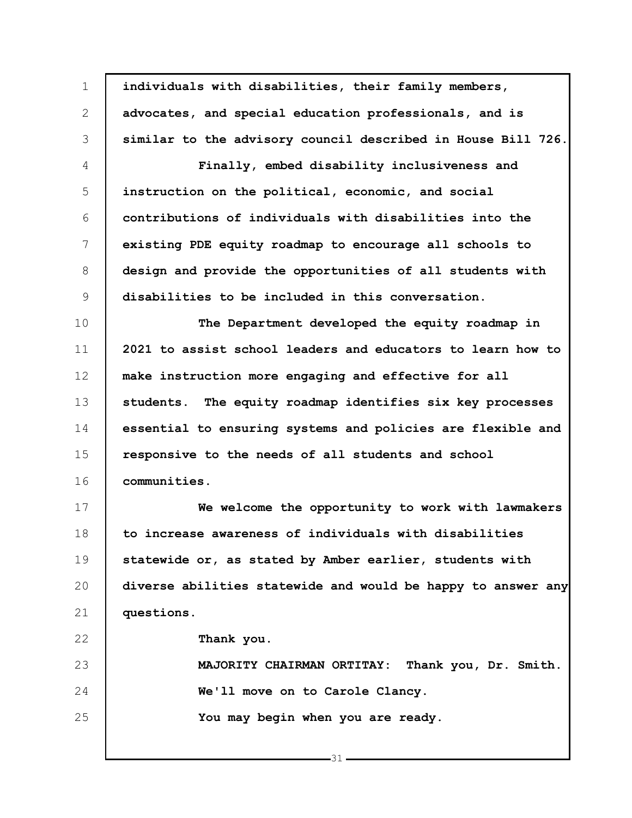1 2 3 4 5 6 7 8 9 10 11 12 13 14 15 16 17 18 19 20 21 22 23 24 25 **individuals with disabilities, their family members, advocates, and special education professionals, and is similar to the advisory council described in House Bill 726. Finally, embed disability inclusiveness and instruction on the political, economic, and social contributions of individuals with disabilities into the existing PDE equity roadmap to encourage all schools to design and provide the opportunities of all students with disabilities to be included in this conversation. The Department developed the equity roadmap in 2021 to assist school leaders and educators to learn how to make instruction more engaging and effective for all students. The equity roadmap identifies six key processes essential to ensuring systems and policies are flexible and responsive to the needs of all students and school communities. We welcome the opportunity to work with lawmakers to increase awareness of individuals with disabilities statewide or, as stated by Amber earlier, students with diverse abilities statewide and would be happy to answer any questions. Thank you. MAJORITY CHAIRMAN ORTITAY: Thank you, Dr. Smith. We'll move on to Carole Clancy. You may begin when you are ready.**

 $-31$ .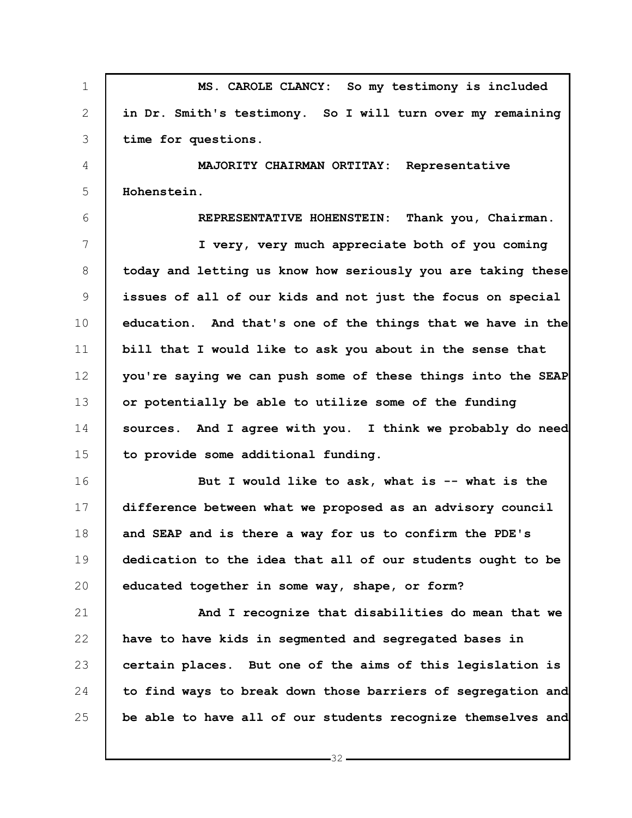1 2 3 4 5 6 7 8 9 10 11 12 13 14 15 16 17 18 19 20 21 22 23 24 25 **MS. CAROLE CLANCY: So my testimony is included in Dr. Smith's testimony. So I will turn over my remaining time for questions. MAJORITY CHAIRMAN ORTITAY: Representative Hohenstein. REPRESENTATIVE HOHENSTEIN: Thank you, Chairman. I very, very much appreciate both of you coming today and letting us know how seriously you are taking these issues of all of our kids and not just the focus on special education. And that's one of the things that we have in the bill that I would like to ask you about in the sense that you're saying we can push some of these things into the SEAP or potentially be able to utilize some of the funding sources. And I agree with you. I think we probably do need to provide some additional funding. But I would like to ask, what is -- what is the difference between what we proposed as an advisory council and SEAP and is there a way for us to confirm the PDE's dedication to the idea that all of our students ought to be educated together in some way, shape, or form? And I recognize that disabilities do mean that we have to have kids in segmented and segregated bases in certain places. But one of the aims of this legislation is to find ways to break down those barriers of segregation and be able to have all of our students recognize themselves and**

 $-32-$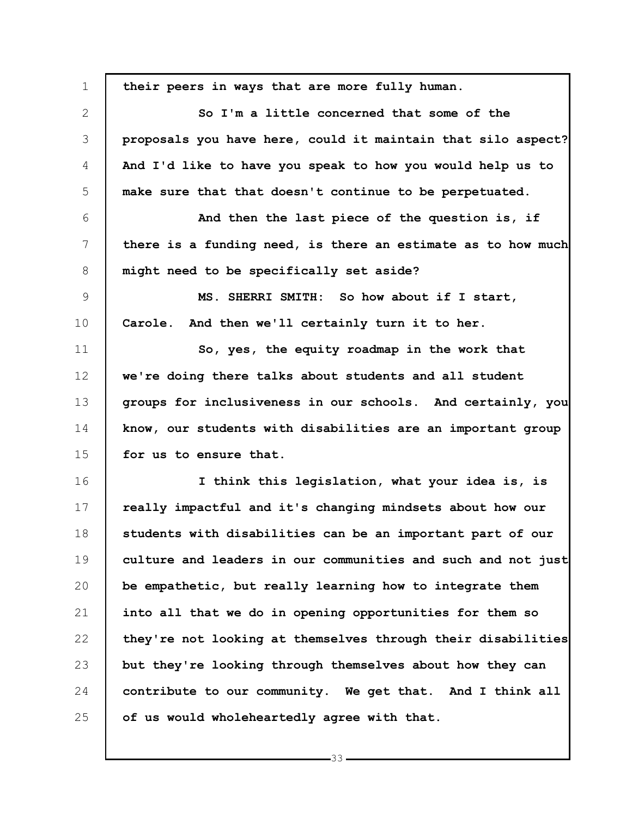1 2 3 4 5 6 7 8 9 10 11 12 13 14 15 16 17 18 19 20 21 22 23 24 25 **their peers in ways that are more fully human. So I'm a little concerned that some of the proposals you have here, could it maintain that silo aspect? And I'd like to have you speak to how you would help us to make sure that that doesn't continue to be perpetuated. And then the last piece of the question is, if there is a funding need, is there an estimate as to how much might need to be specifically set aside? MS. SHERRI SMITH: So how about if I start, Carole. And then we'll certainly turn it to her. So, yes, the equity roadmap in the work that we're doing there talks about students and all student groups for inclusiveness in our schools. And certainly, you know, our students with disabilities are an important group for us to ensure that. I think this legislation, what your idea is, is really impactful and it's changing mindsets about how our students with disabilities can be an important part of our culture and leaders in our communities and such and not just be empathetic, but really learning how to integrate them into all that we do in opening opportunities for them so they're not looking at themselves through their disabilities but they're looking through themselves about how they can contribute to our community. We get that. And I think all of us would wholeheartedly agree with that.**

 $-33 -$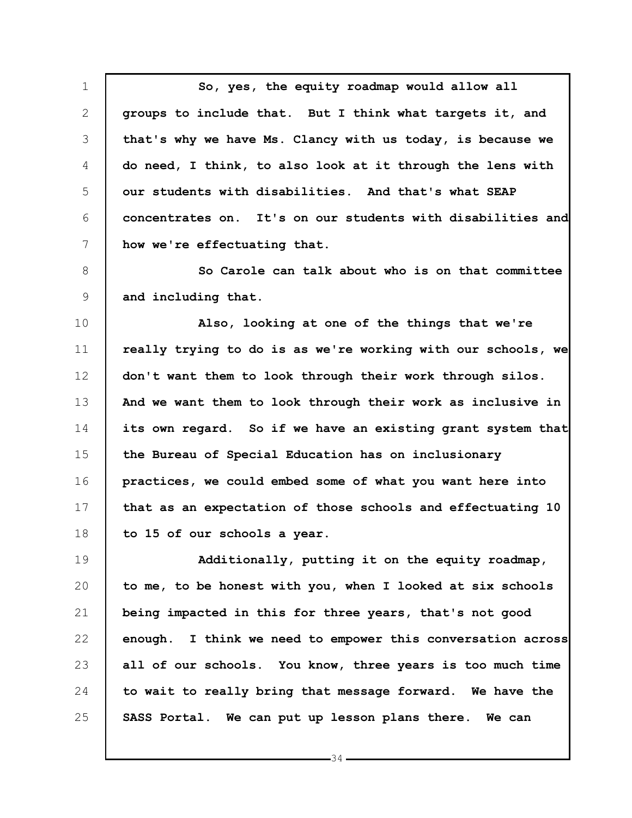1 2 3 4 5 6 7 **So, yes, the equity roadmap would allow all groups to include that. But I think what targets it, and that's why we have Ms. Clancy with us today, is because we do need, I think, to also look at it through the lens with our students with disabilities. And that's what SEAP concentrates on. It's on our students with disabilities and how we're effectuating that.**

8 9 **So Carole can talk about who is on that committee and including that.**

10 11 12 13 14 15 16 17 18 **Also, looking at one of the things that we're really trying to do is as we're working with our schools, we don't want them to look through their work through silos. And we want them to look through their work as inclusive in its own regard. So if we have an existing grant system that the Bureau of Special Education has on inclusionary practices, we could embed some of what you want here into that as an expectation of those schools and effectuating 10 to 15 of our schools a year.**

19 20 21 22 23 24 25 **Additionally, putting it on the equity roadmap, to me, to be honest with you, when I looked at six schools being impacted in this for three years, that's not good enough. I think we need to empower this conversation across all of our schools. You know, three years is too much time to wait to really bring that message forward. We have the SASS Portal. We can put up lesson plans there. We can**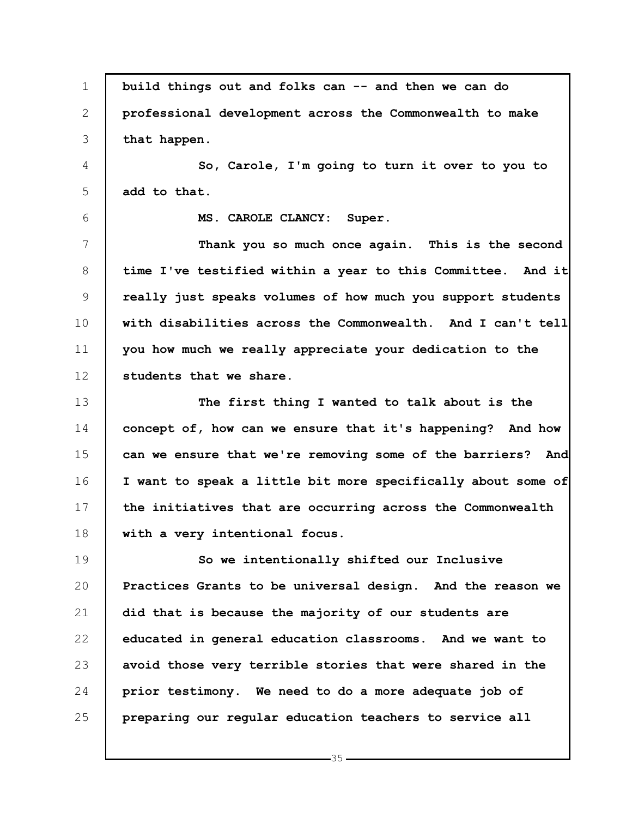1 2 3 4 5 6 7 8 9 10 11 12 13 14 15 16 17 18 19 20 21 22 23 24 25 **build things out and folks can -- and then we can do professional development across the Commonwealth to make that happen. So, Carole, I'm going to turn it over to you to add to that. MS. CAROLE CLANCY: Super. Thank you so much once again. This is the second time I've testified within a year to this Committee. And it really just speaks volumes of how much you support students with disabilities across the Commonwealth. And I can't tell you how much we really appreciate your dedication to the students that we share. The first thing I wanted to talk about is the concept of, how can we ensure that it's happening? And how can we ensure that we're removing some of the barriers? And I want to speak a little bit more specifically about some of the initiatives that are occurring across the Commonwealth with a very intentional focus. So we intentionally shifted our Inclusive Practices Grants to be universal design. And the reason we did that is because the majority of our students are educated in general education classrooms. And we want to avoid those very terrible stories that were shared in the prior testimony. We need to do a more adequate job of preparing our regular education teachers to service all**

 $-35-$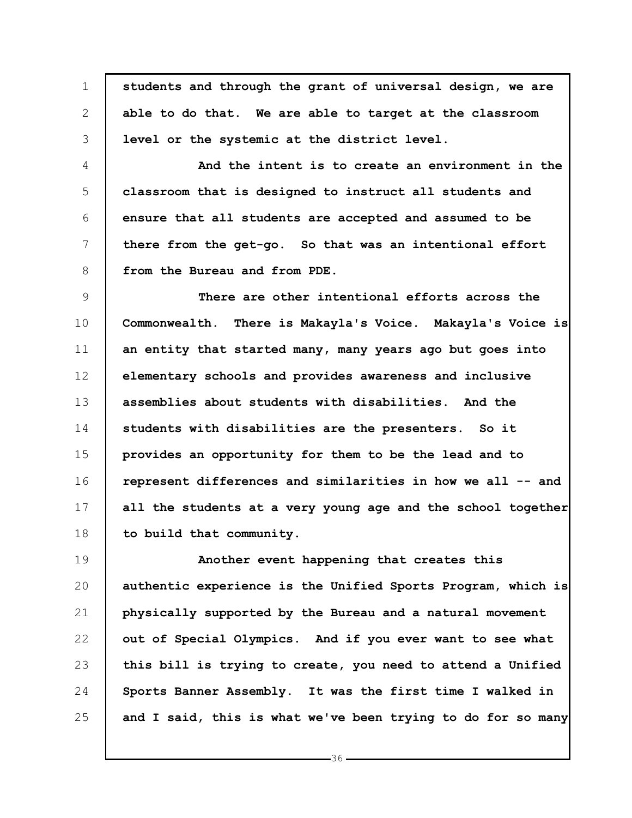1 2 3 **students and through the grant of universal design, we are able to do that. We are able to target at the classroom level or the systemic at the district level.**

4 5 6 7 8 **And the intent is to create an environment in the classroom that is designed to instruct all students and ensure that all students are accepted and assumed to be there from the get-go. So that was an intentional effort from the Bureau and from PDE.**

9 10 11 12 13 14 15 16 17 18 **There are other intentional efforts across the Commonwealth. There is Makayla's Voice. Makayla's Voice is an entity that started many, many years ago but goes into elementary schools and provides awareness and inclusive assemblies about students with disabilities. And the students with disabilities are the presenters. So it provides an opportunity for them to be the lead and to represent differences and similarities in how we all -- and all the students at a very young age and the school together to build that community.**

19 20 21 22 23 24 25 **Another event happening that creates this authentic experience is the Unified Sports Program, which is physically supported by the Bureau and a natural movement out of Special Olympics. And if you ever want to see what this bill is trying to create, you need to attend a Unified Sports Banner Assembly. It was the first time I walked in and I said, this is what we've been trying to do for so many**

 $-36-$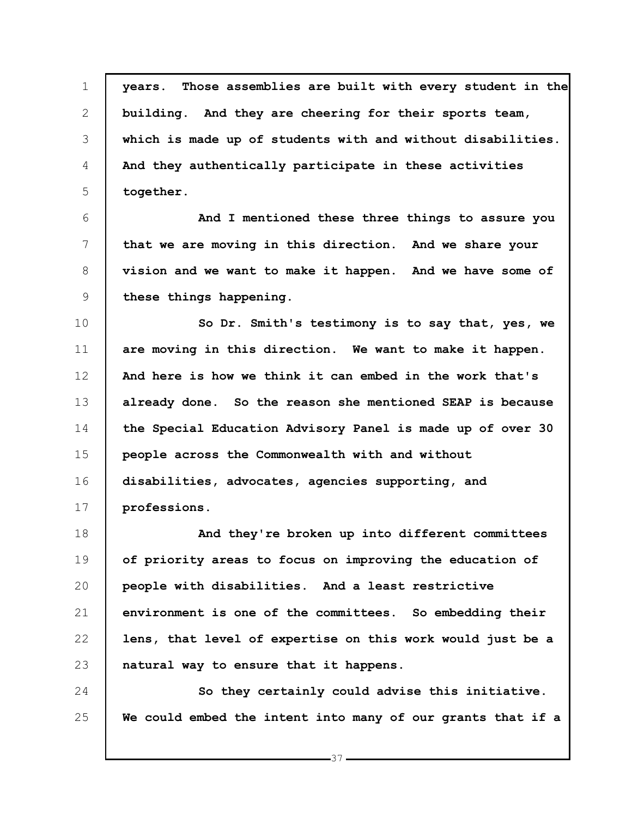1 2 3 4 5 **years. Those assemblies are built with every student in the building. And they are cheering for their sports team, which is made up of students with and without disabilities. And they authentically participate in these activities together.**

6 7 8 9 **And I mentioned these three things to assure you that we are moving in this direction. And we share your vision and we want to make it happen. And we have some of these things happening.**

10 11 12 13 14 15 16 17 **So Dr. Smith's testimony is to say that, yes, we are moving in this direction. We want to make it happen. And here is how we think it can embed in the work that's already done. So the reason she mentioned SEAP is because the Special Education Advisory Panel is made up of over 30 people across the Commonwealth with and without disabilities, advocates, agencies supporting, and professions.**

18 19 20 21 22 23 **And they're broken up into different committees of priority areas to focus on improving the education of people with disabilities. And a least restrictive environment is one of the committees. So embedding their lens, that level of expertise on this work would just be a natural way to ensure that it happens.**

24 25 **So they certainly could advise this initiative. We could embed the intent into many of our grants that if a**

 $-37 -$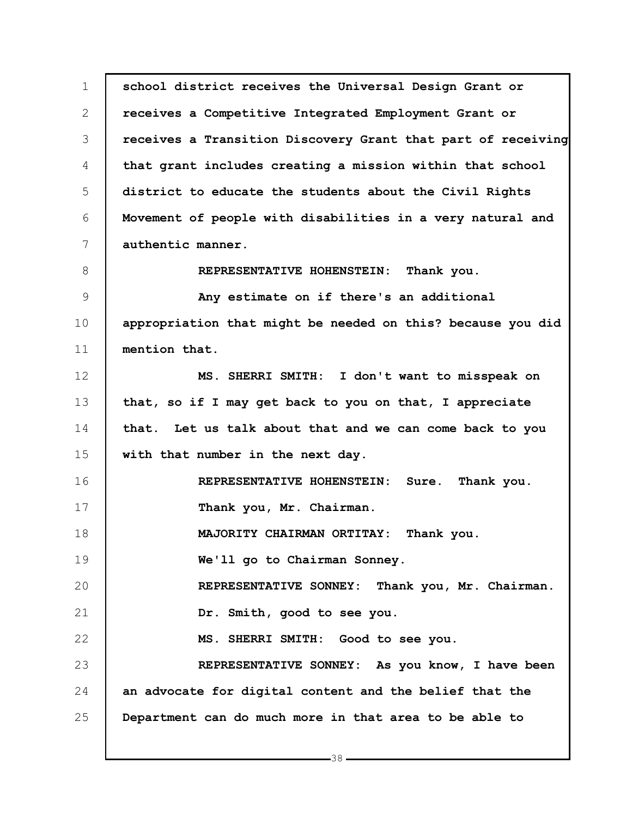1 2 3 4 5 6 7 8 9 10 11 12 13 14 15 16 17 18 19 20 21 22 23 24 25 **school district receives the Universal Design Grant or receives a Competitive Integrated Employment Grant or receives a Transition Discovery Grant that part of receiving that grant includes creating a mission within that school district to educate the students about the Civil Rights Movement of people with disabilities in a very natural and authentic manner. REPRESENTATIVE HOHENSTEIN: Thank you. Any estimate on if there's an additional appropriation that might be needed on this? because you did mention that. MS. SHERRI SMITH: I don't want to misspeak on that, so if I may get back to you on that, I appreciate that. Let us talk about that and we can come back to you with that number in the next day. REPRESENTATIVE HOHENSTEIN: Sure. Thank you. Thank you, Mr. Chairman. MAJORITY CHAIRMAN ORTITAY: Thank you. We'll go to Chairman Sonney. REPRESENTATIVE SONNEY: Thank you, Mr. Chairman. Dr. Smith, good to see you. MS. SHERRI SMITH: Good to see you. REPRESENTATIVE SONNEY: As you know, I have been an advocate for digital content and the belief that the Department can do much more in that area to be able to**

 $-38-$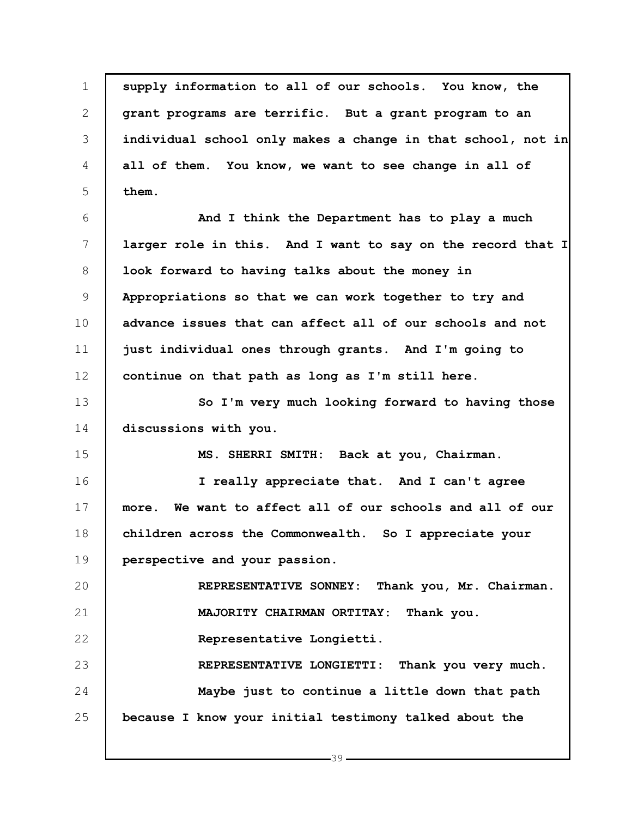1 2 3 4 5 6 7 8 9 10 11 12 13 14 15 16 17 18 19 20 21 22 23 24 25 **supply information to all of our schools. You know, the grant programs are terrific. But a grant program to an individual school only makes a change in that school, not in all of them. You know, we want to see change in all of them. And I think the Department has to play a much larger role in this. And I want to say on the record that I look forward to having talks about the money in Appropriations so that we can work together to try and advance issues that can affect all of our schools and not just individual ones through grants. And I'm going to continue on that path as long as I'm still here. So I'm very much looking forward to having those discussions with you. MS. SHERRI SMITH: Back at you, Chairman. I really appreciate that. And I can't agree more. We want to affect all of our schools and all of our children across the Commonwealth. So I appreciate your perspective and your passion. REPRESENTATIVE SONNEY: Thank you, Mr. Chairman. MAJORITY CHAIRMAN ORTITAY: Thank you. Representative Longietti. REPRESENTATIVE LONGIETTI: Thank you very much. Maybe just to continue a little down that path because I know your initial testimony talked about the**

 $-39-$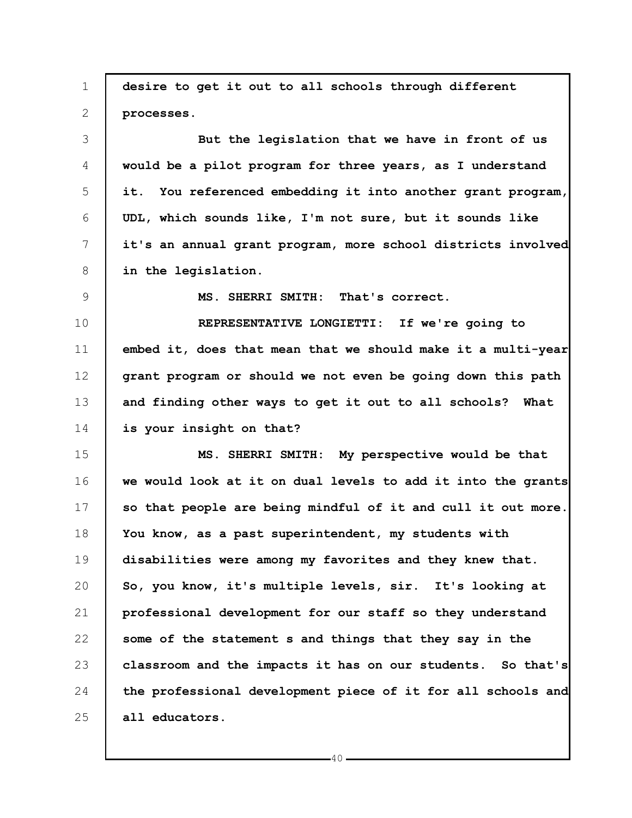1 2 3 4 5 6 7 8 9 10 11 12 13 14 15 16 17 18 19 20 21 22 23 24 25 **desire to get it out to all schools through different processes. But the legislation that we have in front of us would be a pilot program for three years, as I understand it. You referenced embedding it into another grant program, UDL, which sounds like, I'm not sure, but it sounds like it's an annual grant program, more school districts involved in the legislation. MS. SHERRI SMITH: That's correct. REPRESENTATIVE LONGIETTI: If we're going to embed it, does that mean that we should make it a multi-year grant program or should we not even be going down this path and finding other ways to get it out to all schools? What is your insight on that? MS. SHERRI SMITH: My perspective would be that we would look at it on dual levels to add it into the grants so that people are being mindful of it and cull it out more. You know, as a past superintendent, my students with disabilities were among my favorites and they knew that. So, you know, it's multiple levels, sir. It's looking at professional development for our staff so they understand some of the statement s and things that they say in the classroom and the impacts it has on our students. So that's the professional development piece of it for all schools and all educators.**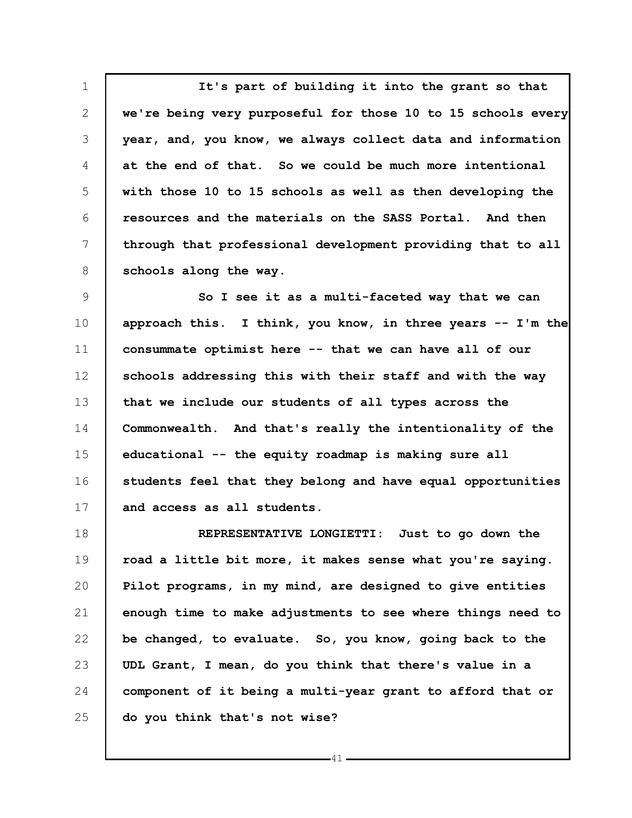1 2 3 4 5 6 7 8 **It's part of building it into the grant so that we're being very purposeful for those 10 to 15 schools every year, and, you know, we always collect data and information at the end of that. So we could be much more intentional with those 10 to 15 schools as well as then developing the resources and the materials on the SASS Portal. And then through that professional development providing that to all schools along the way.**

9 10 11 12 13 14 15 16 17 **So I see it as a multi-faceted way that we can approach this. I think, you know, in three years -- I'm the consummate optimist here -- that we can have all of our schools addressing this with their staff and with the way that we include our students of all types across the Commonwealth. And that's really the intentionality of the educational -- the equity roadmap is making sure all students feel that they belong and have equal opportunities and access as all students.**

18 19 20 21 22 23 24 25 **REPRESENTATIVE LONGIETTI: Just to go down the road a little bit more, it makes sense what you're saying. Pilot programs, in my mind, are designed to give entities enough time to make adjustments to see where things need to be changed, to evaluate. So, you know, going back to the UDL Grant, I mean, do you think that there's value in a component of it being a multi-year grant to afford that or do you think that's not wise?**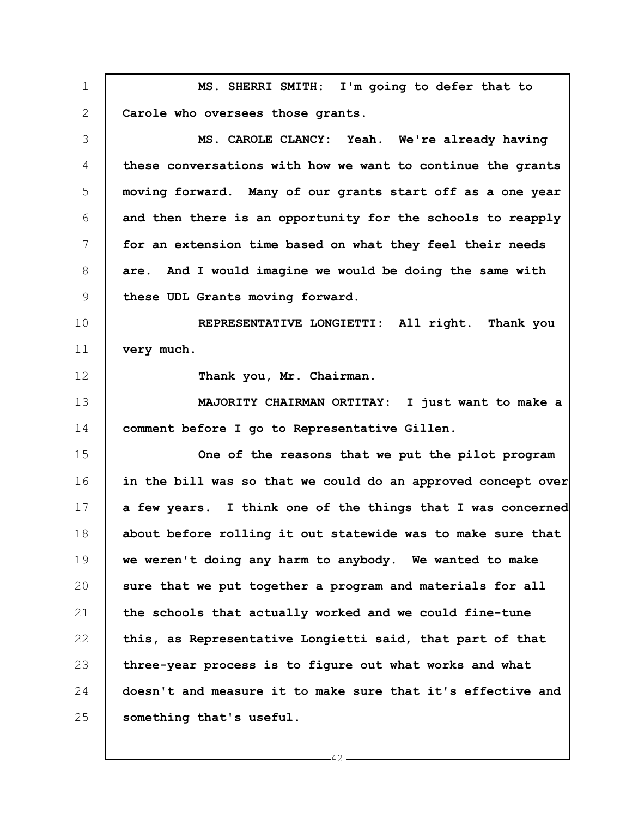1 2 3 4 5 6 7 8 9 10 11 12 13 14 15 16 17 18 19 20 21 22 23 24 25 **MS. SHERRI SMITH: I'm going to defer that to Carole who oversees those grants. MS. CAROLE CLANCY: Yeah. We're already having these conversations with how we want to continue the grants moving forward. Many of our grants start off as a one year and then there is an opportunity for the schools to reapply for an extension time based on what they feel their needs are. And I would imagine we would be doing the same with these UDL Grants moving forward. REPRESENTATIVE LONGIETTI: All right. Thank you very much. Thank you, Mr. Chairman. MAJORITY CHAIRMAN ORTITAY: I just want to make a comment before I go to Representative Gillen. One of the reasons that we put the pilot program in the bill was so that we could do an approved concept over a few years. I think one of the things that I was concerned about before rolling it out statewide was to make sure that we weren't doing any harm to anybody. We wanted to make sure that we put together a program and materials for all the schools that actually worked and we could fine-tune this, as Representative Longietti said, that part of that three-year process is to figure out what works and what doesn't and measure it to make sure that it's effective and something that's useful.**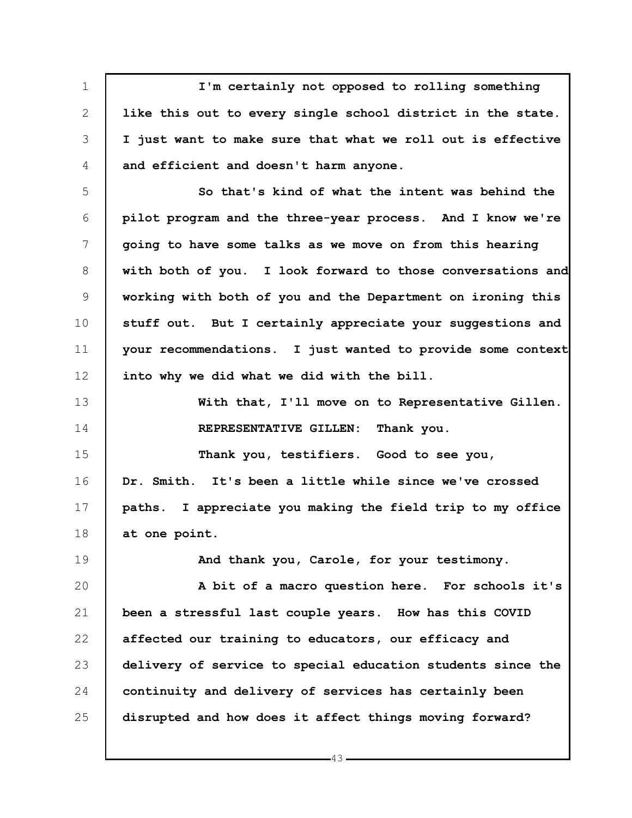1 2 3 4 5 6 7 8 9 10 11 12 13 14 15 16 17 18 19 20 21 22 23 24 25 **I'm certainly not opposed to rolling something like this out to every single school district in the state. I just want to make sure that what we roll out is effective and efficient and doesn't harm anyone. So that's kind of what the intent was behind the pilot program and the three-year process. And I know we're going to have some talks as we move on from this hearing with both of you. I look forward to those conversations and working with both of you and the Department on ironing this stuff out. But I certainly appreciate your suggestions and your recommendations. I just wanted to provide some context into why we did what we did with the bill. With that, I'll move on to Representative Gillen. REPRESENTATIVE GILLEN: Thank you. Thank you, testifiers. Good to see you, Dr. Smith. It's been a little while since we've crossed paths. I appreciate you making the field trip to my office at one point. And thank you, Carole, for your testimony. A bit of a macro question here. For schools it's been a stressful last couple years. How has this COVID affected our training to educators, our efficacy and delivery of service to special education students since the continuity and delivery of services has certainly been disrupted and how does it affect things moving forward?**

43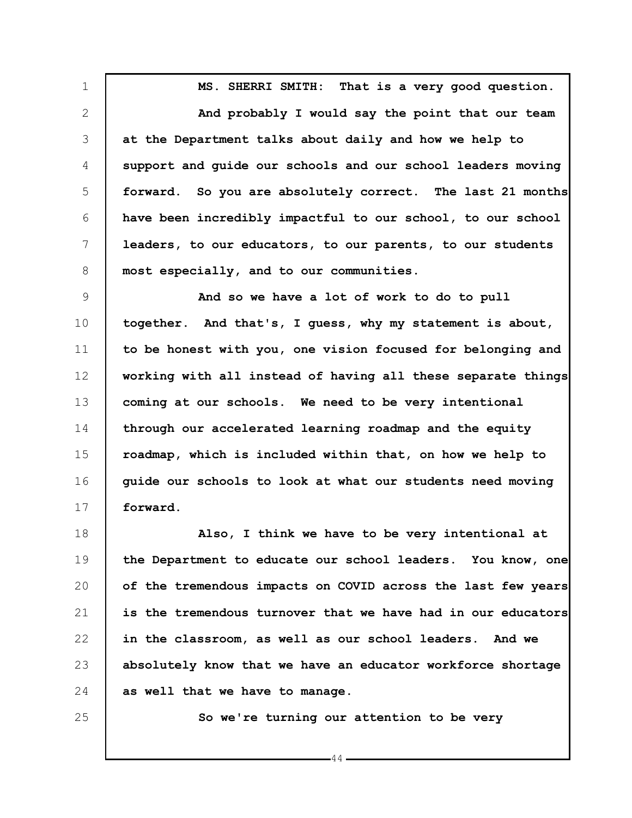1 2 3 4 5 6 7 8 **MS. SHERRI SMITH: That is a very good question. And probably I would say the point that our team at the Department talks about daily and how we help to support and guide our schools and our school leaders moving forward. So you are absolutely correct. The last 21 months have been incredibly impactful to our school, to our school leaders, to our educators, to our parents, to our students most especially, and to our communities.**

9 10 11 12 13 14 15 16 17 **And so we have a lot of work to do to pull together. And that's, I guess, why my statement is about, to be honest with you, one vision focused for belonging and working with all instead of having all these separate things coming at our schools. We need to be very intentional through our accelerated learning roadmap and the equity roadmap, which is included within that, on how we help to guide our schools to look at what our students need moving forward.**

18 19 20 21 22 23 24 **Also, I think we have to be very intentional at the Department to educate our school leaders. You know, one of the tremendous impacts on COVID across the last few years is the tremendous turnover that we have had in our educators in the classroom, as well as our school leaders. And we absolutely know that we have an educator workforce shortage as well that we have to manage.**

25

**So we're turning our attention to be very**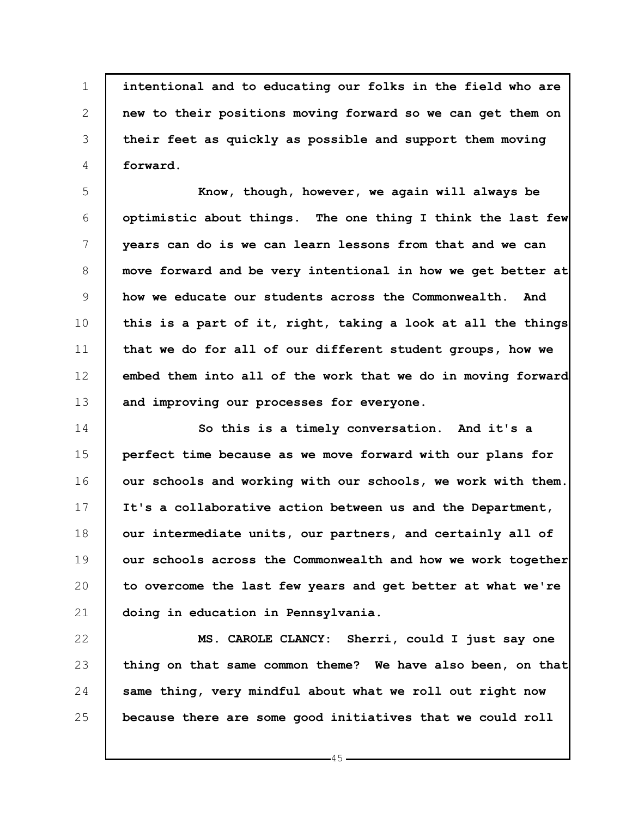1 2 3 4 **intentional and to educating our folks in the field who are new to their positions moving forward so we can get them on their feet as quickly as possible and support them moving forward.**

5 6 7 8 9 10 11 12 13 **Know, though, however, we again will always be optimistic about things. The one thing I think the last few years can do is we can learn lessons from that and we can move forward and be very intentional in how we get better at how we educate our students across the Commonwealth. And this is a part of it, right, taking a look at all the things that we do for all of our different student groups, how we embed them into all of the work that we do in moving forward and improving our processes for everyone.**

14 15 16 17 18 19 20 21 **So this is a timely conversation. And it's a perfect time because as we move forward with our plans for our schools and working with our schools, we work with them. It's a collaborative action between us and the Department, our intermediate units, our partners, and certainly all of our schools across the Commonwealth and how we work together to overcome the last few years and get better at what we're doing in education in Pennsylvania.**

22 23 24 25 **MS. CAROLE CLANCY: Sherri, could I just say one thing on that same common theme? We have also been, on that same thing, very mindful about what we roll out right now because there are some good initiatives that we could roll**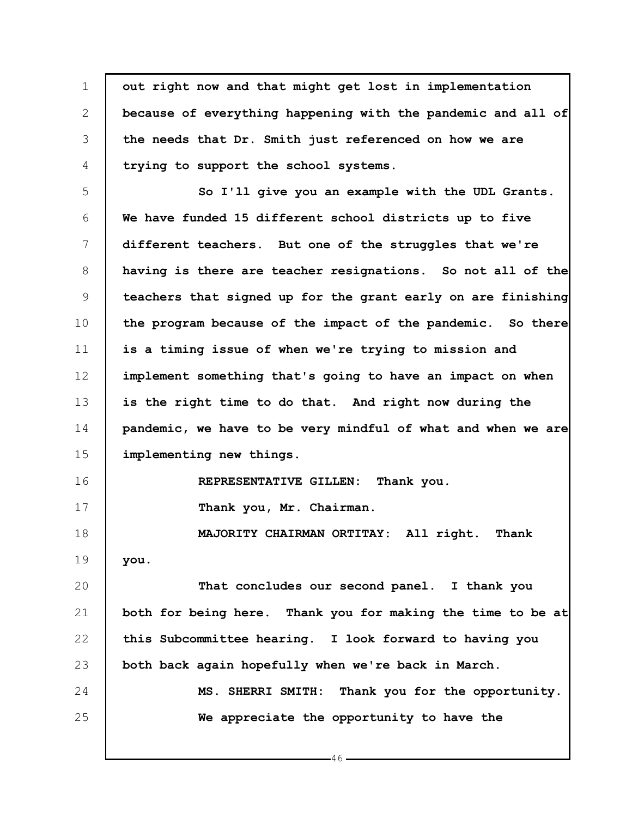1 2 3 4 5 6 7 8 9 10 11 12 13 14 15 16 17 18 19 20 21 22 23 24 25 **out right now and that might get lost in implementation because of everything happening with the pandemic and all of the needs that Dr. Smith just referenced on how we are trying to support the school systems. So I'll give you an example with the UDL Grants. We have funded 15 different school districts up to five different teachers. But one of the struggles that we're having is there are teacher resignations. So not all of the teachers that signed up for the grant early on are finishing the program because of the impact of the pandemic. So there is a timing issue of when we're trying to mission and implement something that's going to have an impact on when is the right time to do that. And right now during the pandemic, we have to be very mindful of what and when we are implementing new things. REPRESENTATIVE GILLEN: Thank you. Thank you, Mr. Chairman. MAJORITY CHAIRMAN ORTITAY: All right. Thank you. That concludes our second panel. I thank you both for being here. Thank you for making the time to be at this Subcommittee hearing. I look forward to having you both back again hopefully when we're back in March. MS. SHERRI SMITH: Thank you for the opportunity. We appreciate the opportunity to have the**

 $-46-$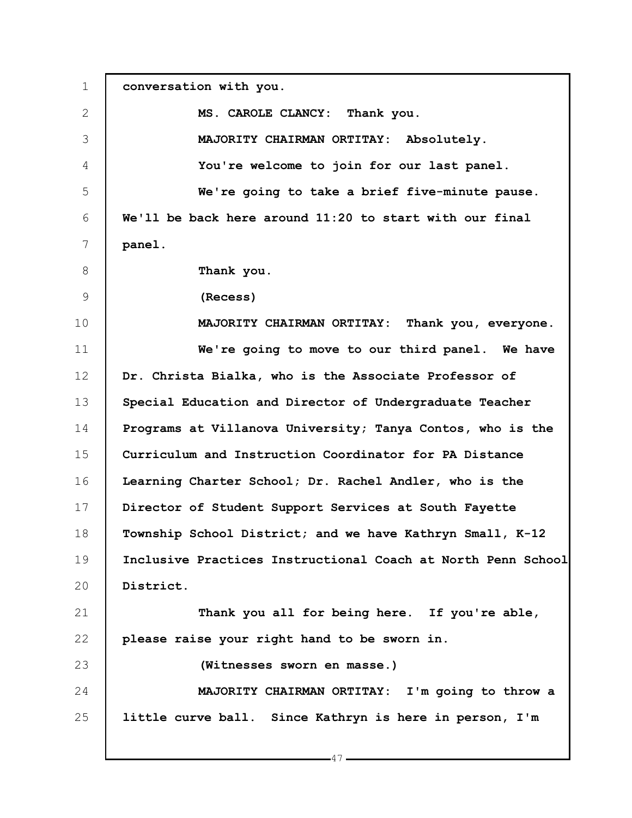1 2 3 4 5 6 7 8 9 10 11 12 13 14 15 16 17 18 19 20 21 22 23 24 25 **conversation with you. MS. CAROLE CLANCY: Thank you. MAJORITY CHAIRMAN ORTITAY: Absolutely. You're welcome to join for our last panel. We're going to take a brief five-minute pause. We'll be back here around 11:20 to start with our final panel. Thank you. (Recess) MAJORITY CHAIRMAN ORTITAY: Thank you, everyone. We're going to move to our third panel. We have Dr. Christa Bialka, who is the Associate Professor of Special Education and Director of Undergraduate Teacher Programs at Villanova University; Tanya Contos, who is the Curriculum and Instruction Coordinator for PA Distance Learning Charter School; Dr. Rachel Andler, who is the Director of Student Support Services at South Fayette Township School District; and we have Kathryn Small, K-12 Inclusive Practices Instructional Coach at North Penn School District. Thank you all for being here. If you're able, please raise your right hand to be sworn in. (Witnesses sworn en masse.) MAJORITY CHAIRMAN ORTITAY: I'm going to throw a little curve ball. Since Kathryn is here in person, I'm**

 $-47$ .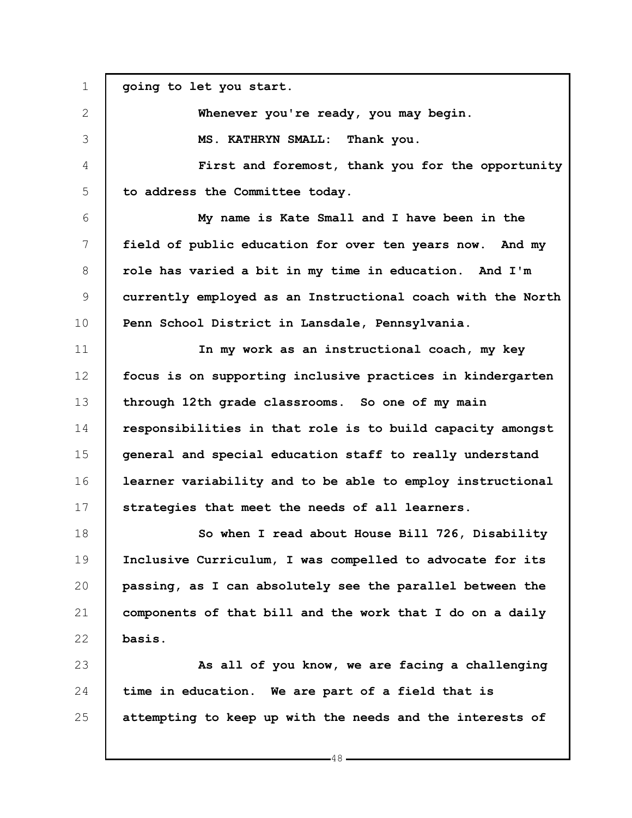1 2 3 4 5 6 7 8 9 10 11 12 13 14 15 16 17 18 19 20 21 22 23 24 25 **going to let you start. Whenever you're ready, you may begin. MS. KATHRYN SMALL: Thank you. First and foremost, thank you for the opportunity to address the Committee today. My name is Kate Small and I have been in the field of public education for over ten years now. And my role has varied a bit in my time in education. And I'm currently employed as an Instructional coach with the North Penn School District in Lansdale, Pennsylvania. In my work as an instructional coach, my key focus is on supporting inclusive practices in kindergarten through 12th grade classrooms. So one of my main responsibilities in that role is to build capacity amongst general and special education staff to really understand learner variability and to be able to employ instructional strategies that meet the needs of all learners. So when I read about House Bill 726, Disability Inclusive Curriculum, I was compelled to advocate for its passing, as I can absolutely see the parallel between the components of that bill and the work that I do on a daily basis. As all of you know, we are facing a challenging time in education. We are part of a field that is attempting to keep up with the needs and the interests of**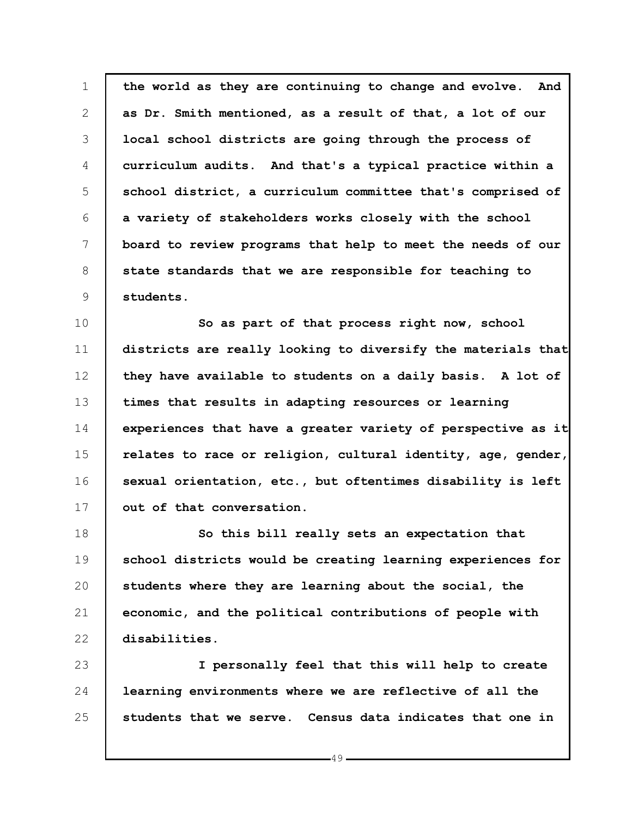1 2 3 4 5 6 7 8 9 **the world as they are continuing to change and evolve. And as Dr. Smith mentioned, as a result of that, a lot of our local school districts are going through the process of curriculum audits. And that's a typical practice within a school district, a curriculum committee that's comprised of a variety of stakeholders works closely with the school board to review programs that help to meet the needs of our state standards that we are responsible for teaching to students.**

10 11 12 13 14 15 16 17 **So as part of that process right now, school districts are really looking to diversify the materials that they have available to students on a daily basis. A lot of times that results in adapting resources or learning experiences that have a greater variety of perspective as it relates to race or religion, cultural identity, age, gender, sexual orientation, etc., but oftentimes disability is left out of that conversation.**

18 19 20 21 22 **So this bill really sets an expectation that school districts would be creating learning experiences for students where they are learning about the social, the economic, and the political contributions of people with disabilities.**

23 24 25 **I personally feel that this will help to create learning environments where we are reflective of all the students that we serve. Census data indicates that one in**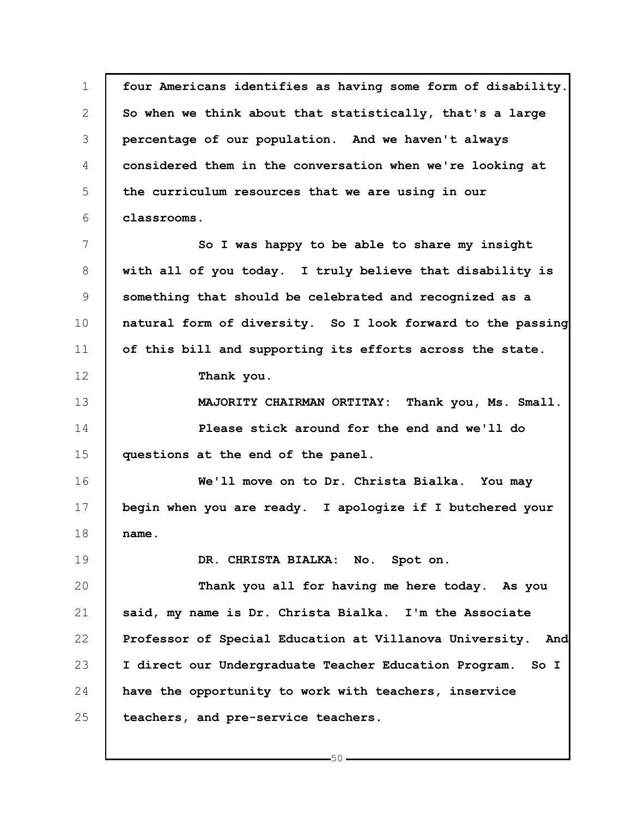1 2 3 4 5 6 7 8 9 10 11 12 13 14 15 16 17 18 19 20 21 22 23 24 25 **four Americans identifies as having some form of disability. So when we think about that statistically, that's a large percentage of our population. And we haven't always considered them in the conversation when we're looking at the curriculum resources that we are using in our classrooms. So I was happy to be able to share my insight with all of you today. I truly believe that disability is something that should be celebrated and recognized as a natural form of diversity. So I look forward to the passing of this bill and supporting its efforts across the state. Thank you. MAJORITY CHAIRMAN ORTITAY: Thank you, Ms. Small. Please stick around for the end and we'll do questions at the end of the panel. We'll move on to Dr. Christa Bialka. You may begin when you are ready. I apologize if I butchered your name. DR. CHRISTA BIALKA: No. Spot on. Thank you all for having me here today. As you said, my name is Dr. Christa Bialka. I'm the Associate Professor of Special Education at Villanova University. And I direct our Undergraduate Teacher Education Program. So I have the opportunity to work with teachers, inservice teachers, and pre-service teachers.**

 $-50 -$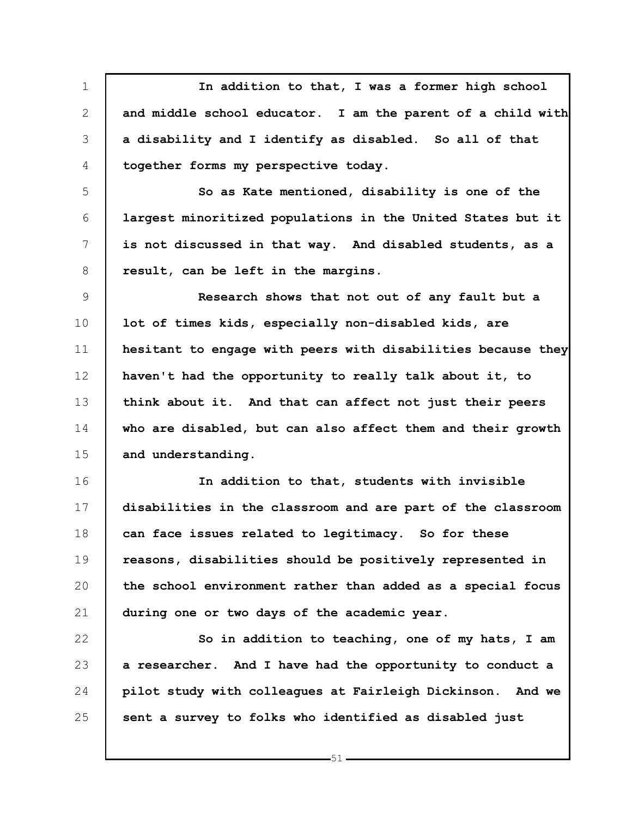1 2 3 4 **In addition to that, I was a former high school and middle school educator. I am the parent of a child with a disability and I identify as disabled. So all of that together forms my perspective today.**

6 7 **So as Kate mentioned, disability is one of the largest minoritized populations in the United States but it is not discussed in that way. And disabled students, as a result, can be left in the margins.**

5

8

9 10 11 12 13 14 15 **Research shows that not out of any fault but a lot of times kids, especially non-disabled kids, are hesitant to engage with peers with disabilities because they haven't had the opportunity to really talk about it, to think about it. And that can affect not just their peers who are disabled, but can also affect them and their growth and understanding.**

16 17 18 19 20 21 **In addition to that, students with invisible disabilities in the classroom and are part of the classroom can face issues related to legitimacy. So for these reasons, disabilities should be positively represented in the school environment rather than added as a special focus during one or two days of the academic year.**

22 23 24 25 **So in addition to teaching, one of my hats, I am a researcher. And I have had the opportunity to conduct a pilot study with colleagues at Fairleigh Dickinson. And we sent a survey to folks who identified as disabled just**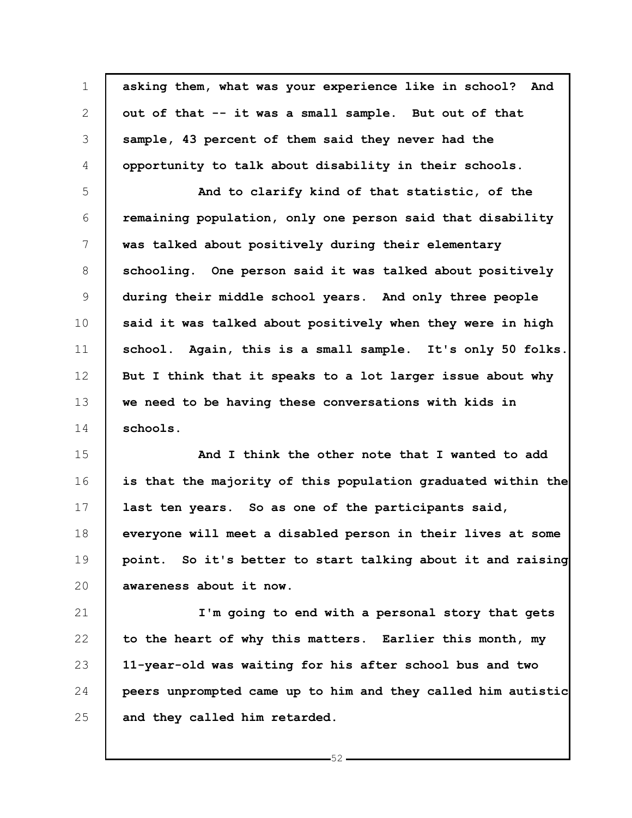1 2 3 4 5 6 7 8 9 10 11 12 13 14 15 16 17 18 19 20 21 22 23 24 25 **asking them, what was your experience like in school? And out of that -- it was a small sample. But out of that sample, 43 percent of them said they never had the opportunity to talk about disability in their schools. And to clarify kind of that statistic, of the remaining population, only one person said that disability was talked about positively during their elementary schooling. One person said it was talked about positively during their middle school years. And only three people said it was talked about positively when they were in high school. Again, this is a small sample. It's only 50 folks. But I think that it speaks to a lot larger issue about why we need to be having these conversations with kids in schools. And I think the other note that I wanted to add is that the majority of this population graduated within the last ten years. So as one of the participants said, everyone will meet a disabled person in their lives at some point. So it's better to start talking about it and raising awareness about it now. I'm going to end with a personal story that gets to the heart of why this matters. Earlier this month, my 11-year-old was waiting for his after school bus and two peers unprompted came up to him and they called him autistic and they called him retarded.**

 $-52$  -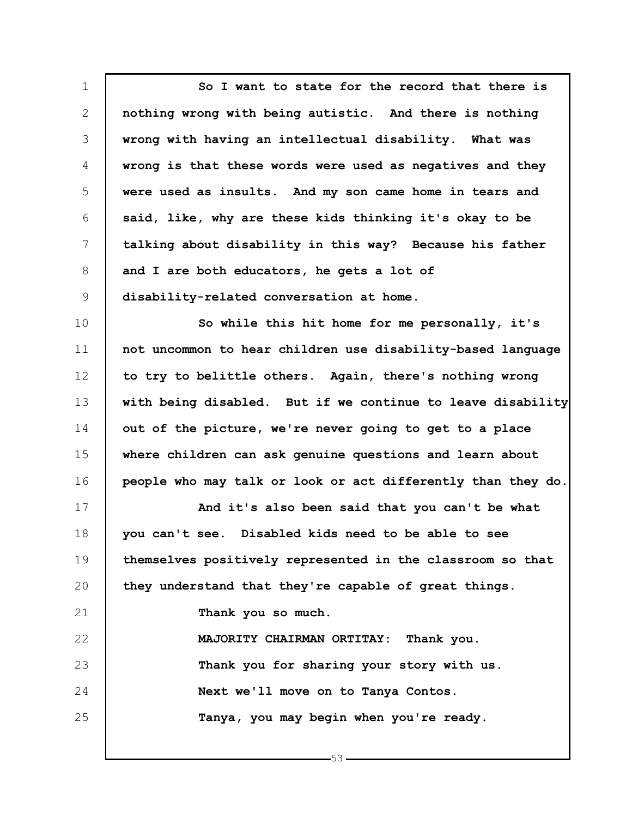1 2 3 4 5 6 7 8 9 10 11 12 13 14 15 16 17 18 19 20 21 22 23 24 25 **So I want to state for the record that there is nothing wrong with being autistic. And there is nothing wrong with having an intellectual disability. What was wrong is that these words were used as negatives and they were used as insults. And my son came home in tears and said, like, why are these kids thinking it's okay to be talking about disability in this way? Because his father and I are both educators, he gets a lot of disability-related conversation at home. So while this hit home for me personally, it's not uncommon to hear children use disability-based language to try to belittle others. Again, there's nothing wrong with being disabled. But if we continue to leave disability out of the picture, we're never going to get to a place where children can ask genuine questions and learn about people who may talk or look or act differently than they do. And it's also been said that you can't be what you can't see. Disabled kids need to be able to see themselves positively represented in the classroom so that they understand that they're capable of great things. Thank you so much. MAJORITY CHAIRMAN ORTITAY: Thank you. Thank you for sharing your story with us. Next we'll move on to Tanya Contos. Tanya, you may begin when you're ready.**

 $-53-$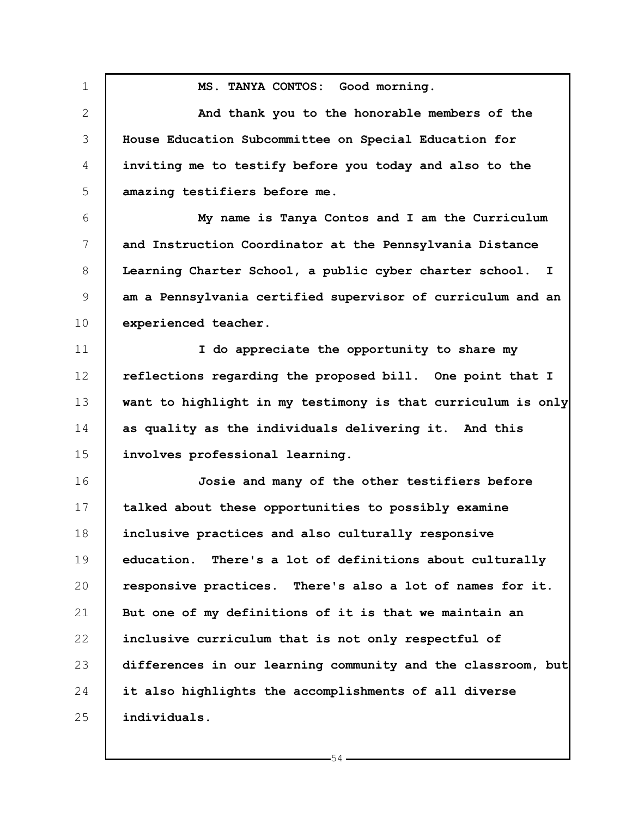1 2 3 4 5 6 7 8 9 10 11 12 13 14 15 16 17 18 19 20 21 22 23 24 25 **MS. TANYA CONTOS: Good morning. And thank you to the honorable members of the House Education Subcommittee on Special Education for inviting me to testify before you today and also to the amazing testifiers before me. My name is Tanya Contos and I am the Curriculum and Instruction Coordinator at the Pennsylvania Distance Learning Charter School, a public cyber charter school. I am a Pennsylvania certified supervisor of curriculum and an experienced teacher. I do appreciate the opportunity to share my reflections regarding the proposed bill. One point that I want to highlight in my testimony is that curriculum is only as quality as the individuals delivering it. And this involves professional learning. Josie and many of the other testifiers before talked about these opportunities to possibly examine inclusive practices and also culturally responsive education. There's a lot of definitions about culturally responsive practices. There's also a lot of names for it. But one of my definitions of it is that we maintain an inclusive curriculum that is not only respectful of differences in our learning community and the classroom, but it also highlights the accomplishments of all diverse individuals.**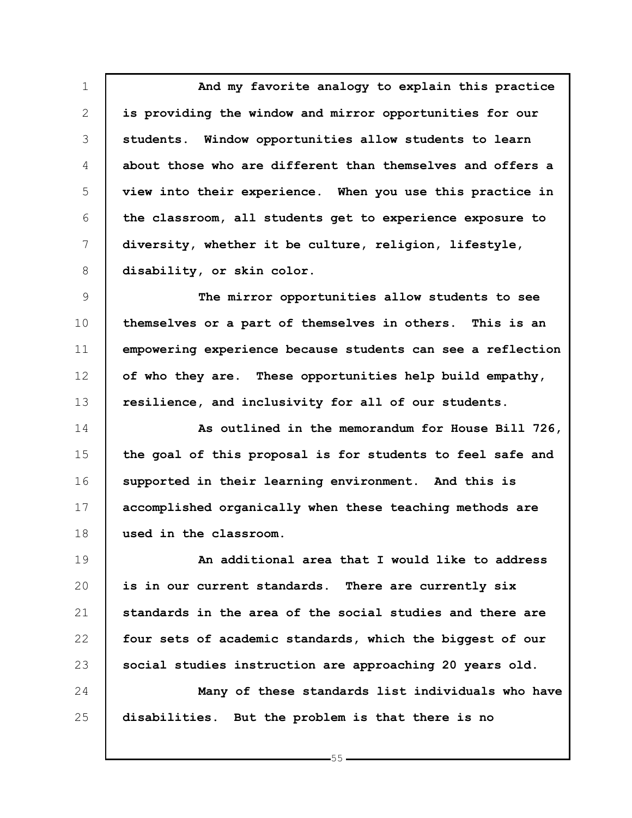1 2 3 4 5 6 7 8 **And my favorite analogy to explain this practice is providing the window and mirror opportunities for our students. Window opportunities allow students to learn about those who are different than themselves and offers a view into their experience. When you use this practice in the classroom, all students get to experience exposure to diversity, whether it be culture, religion, lifestyle, disability, or skin color.**

9 10 11 12 13 **The mirror opportunities allow students to see themselves or a part of themselves in others. This is an empowering experience because students can see a reflection of who they are. These opportunities help build empathy, resilience, and inclusivity for all of our students.**

14 15 16 17 18 **As outlined in the memorandum for House Bill 726, the goal of this proposal is for students to feel safe and supported in their learning environment. And this is accomplished organically when these teaching methods are used in the classroom.**

19 20 21 22 23 **An additional area that I would like to address is in our current standards. There are currently six standards in the area of the social studies and there are four sets of academic standards, which the biggest of our social studies instruction are approaching 20 years old.**

24 25 **Many of these standards list individuals who have disabilities. But the problem is that there is no**

 $-55-$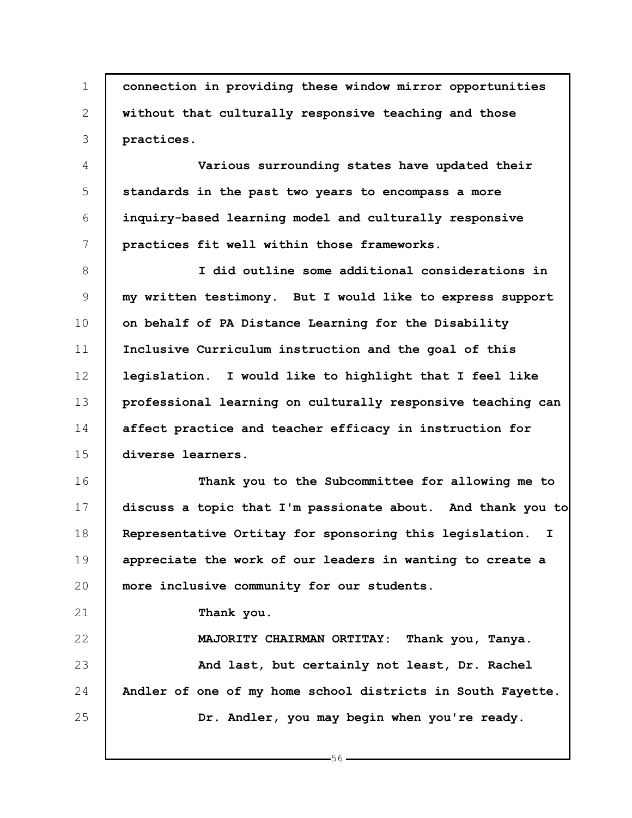1 2 3 **connection in providing these window mirror opportunities without that culturally responsive teaching and those practices.**

4 5 6 7 **Various surrounding states have updated their standards in the past two years to encompass a more inquiry-based learning model and culturally responsive practices fit well within those frameworks.**

8 9 10 11 12 13 14 15 **I did outline some additional considerations in my written testimony. But I would like to express support on behalf of PA Distance Learning for the Disability Inclusive Curriculum instruction and the goal of this legislation. I would like to highlight that I feel like professional learning on culturally responsive teaching can affect practice and teacher efficacy in instruction for diverse learners.**

16 17 18 19 20 **Thank you to the Subcommittee for allowing me to discuss a topic that I'm passionate about. And thank you to Representative Ortitay for sponsoring this legislation. I appreciate the work of our leaders in wanting to create a more inclusive community for our students.**

**Thank you.**

21

22 23 24 25 **MAJORITY CHAIRMAN ORTITAY: Thank you, Tanya. And last, but certainly not least, Dr. Rachel Andler of one of my home school districts in South Fayette. Dr. Andler, you may begin when you're ready.**

 $-56-$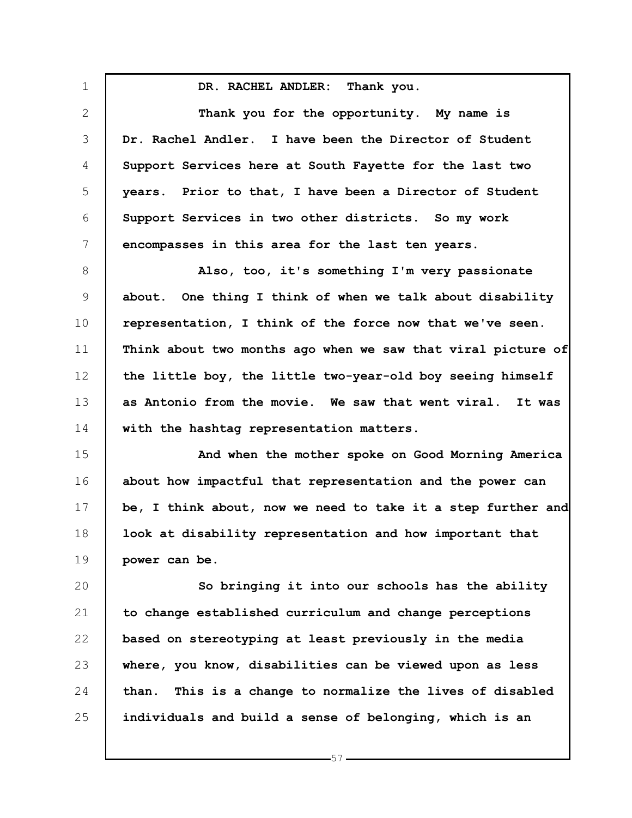1 2 3 4 5 6 7 8 9 10 11 12 13 14 15 16 17 18 19 20 21 22 23 24 25 **DR. RACHEL ANDLER: Thank you. Thank you for the opportunity. My name is Dr. Rachel Andler. I have been the Director of Student Support Services here at South Fayette for the last two years. Prior to that, I have been a Director of Student Support Services in two other districts. So my work encompasses in this area for the last ten years. Also, too, it's something I'm very passionate about. One thing I think of when we talk about disability representation, I think of the force now that we've seen. Think about two months ago when we saw that viral picture of the little boy, the little two-year-old boy seeing himself as Antonio from the movie. We saw that went viral. It was with the hashtag representation matters. And when the mother spoke on Good Morning America about how impactful that representation and the power can be, I think about, now we need to take it a step further and look at disability representation and how important that power can be. So bringing it into our schools has the ability to change established curriculum and change perceptions based on stereotyping at least previously in the media where, you know, disabilities can be viewed upon as less than. This is a change to normalize the lives of disabled individuals and build a sense of belonging, which is an**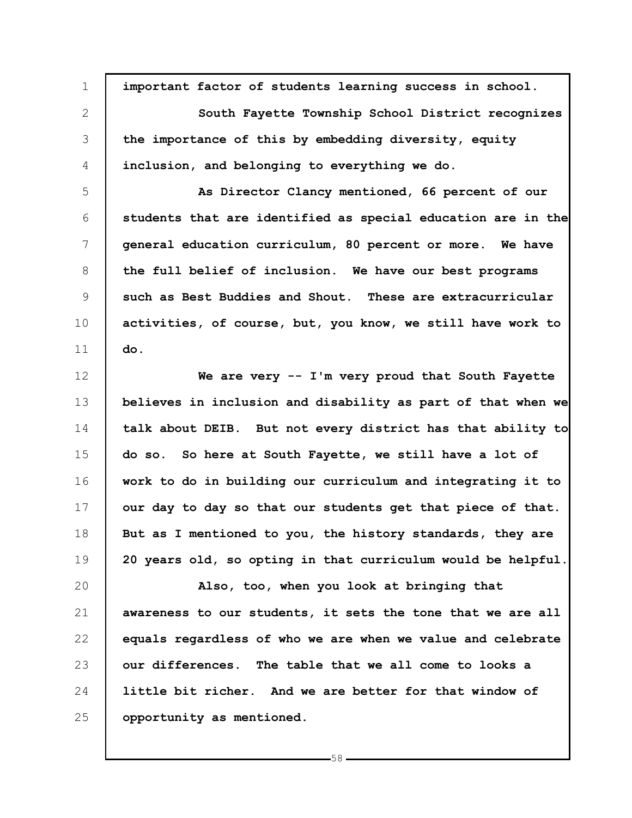| $\mathbf 1$  | important factor of students learning success in school.     |
|--------------|--------------------------------------------------------------|
| $\mathbf{2}$ | South Fayette Township School District recognizes            |
| 3            | the importance of this by embedding diversity, equity        |
| 4            | inclusion, and belonging to everything we do.                |
| 5            | As Director Clancy mentioned, 66 percent of our              |
| 6            | students that are identified as special education are in the |
| 7            | general education curriculum, 80 percent or more. We have    |
| 8            | the full belief of inclusion. We have our best programs      |
| 9            | such as Best Buddies and Shout. These are extracurricular    |
| 10           | activities, of course, but, you know, we still have work to  |
| 11           | do.                                                          |
| 12           | We are very -- I'm very proud that South Fayette             |
| 13           | believes in inclusion and disability as part of that when we |
| 14           | talk about DEIB. But not every district has that ability to  |
| 15           | do so. So here at South Fayette, we still have a lot of      |
| 16           | work to do in building our curriculum and integrating it to  |
| 17           | our day to day so that our students get that piece of that.  |
| 18           | But as I mentioned to you, the history standards, they are   |
| 19           | 20 years old, so opting in that curriculum would be helpful. |
| 20           | Also, too, when you look at bringing that                    |
| 21           | awareness to our students, it sets the tone that we are all  |
| 22           | equals regardless of who we are when we value and celebrate  |
| 23           | our differences. The table that we all come to looks a       |
| 24           | little bit richer. And we are better for that window of      |
| 25           | opportunity as mentioned.                                    |

 $-58-$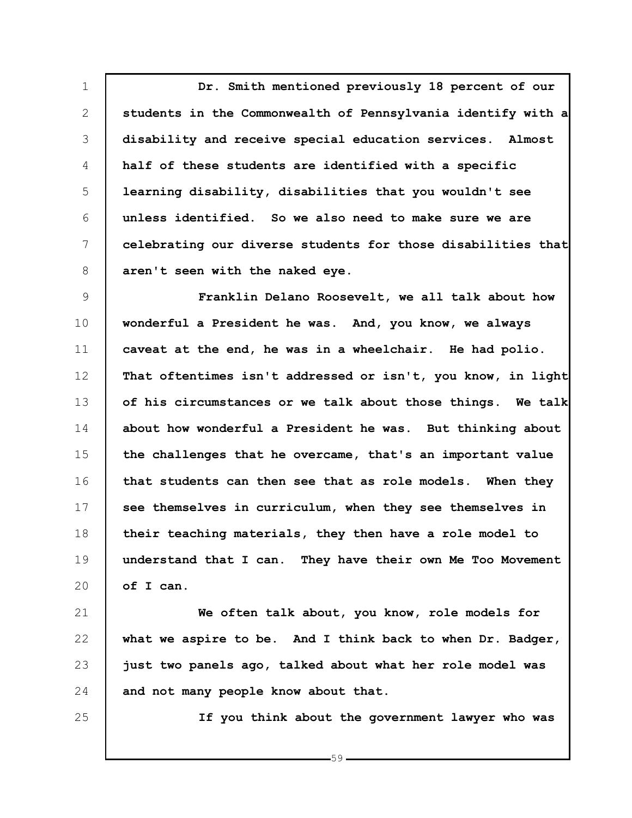1 2 3 4 5 6 7 8 **Dr. Smith mentioned previously 18 percent of our students in the Commonwealth of Pennsylvania identify with a disability and receive special education services. Almost half of these students are identified with a specific learning disability, disabilities that you wouldn't see unless identified. So we also need to make sure we are celebrating our diverse students for those disabilities that aren't seen with the naked eye.**

9 10 11 12 13 14 15 16 17 18 19 20 **Franklin Delano Roosevelt, we all talk about how wonderful a President he was. And, you know, we always caveat at the end, he was in a wheelchair. He had polio. That oftentimes isn't addressed or isn't, you know, in light of his circumstances or we talk about those things. We talk about how wonderful a President he was. But thinking about the challenges that he overcame, that's an important value that students can then see that as role models. When they see themselves in curriculum, when they see themselves in their teaching materials, they then have a role model to understand that I can. They have their own Me Too Movement of I can.**

21 22 23 24 **We often talk about, you know, role models for what we aspire to be. And I think back to when Dr. Badger, just two panels ago, talked about what her role model was and not many people know about that.**

25

**If you think about the government lawyer who was**

 $-59-$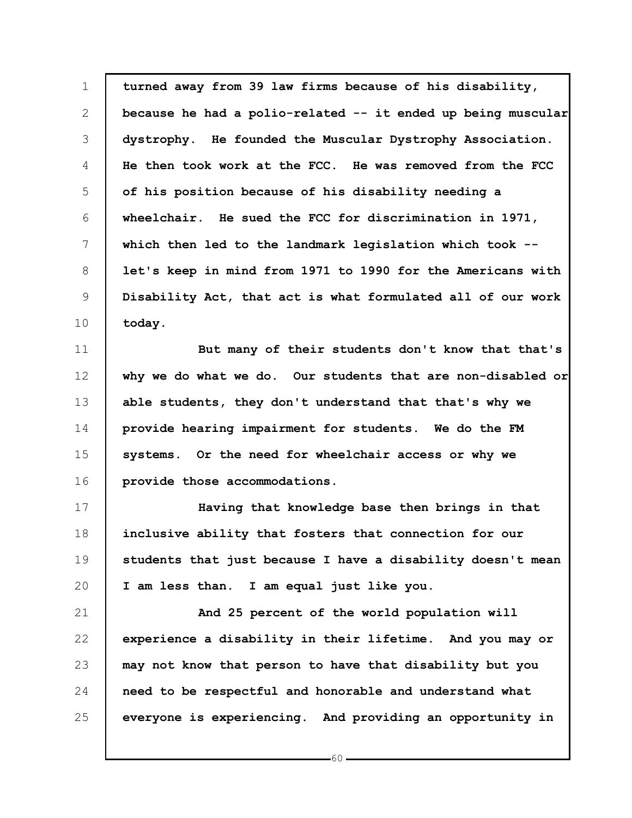1 2 3 4 5 6 7 8 9 10 **turned away from 39 law firms because of his disability, because he had a polio-related -- it ended up being muscular dystrophy. He founded the Muscular Dystrophy Association. He then took work at the FCC. He was removed from the FCC of his position because of his disability needing a wheelchair. He sued the FCC for discrimination in 1971, which then led to the landmark legislation which took - let's keep in mind from 1971 to 1990 for the Americans with Disability Act, that act is what formulated all of our work today.**

11 12 13 14 15 16 **But many of their students don't know that that's why we do what we do. Our students that are non-disabled or able students, they don't understand that that's why we provide hearing impairment for students. We do the FM systems. Or the need for wheelchair access or why we provide those accommodations.**

17 18 19 20 **Having that knowledge base then brings in that inclusive ability that fosters that connection for our students that just because I have a disability doesn't mean I am less than. I am equal just like you.**

21 22 23 24 25 **And 25 percent of the world population will experience a disability in their lifetime. And you may or may not know that person to have that disability but you need to be respectful and honorable and understand what everyone is experiencing. And providing an opportunity in**

 $-60 -$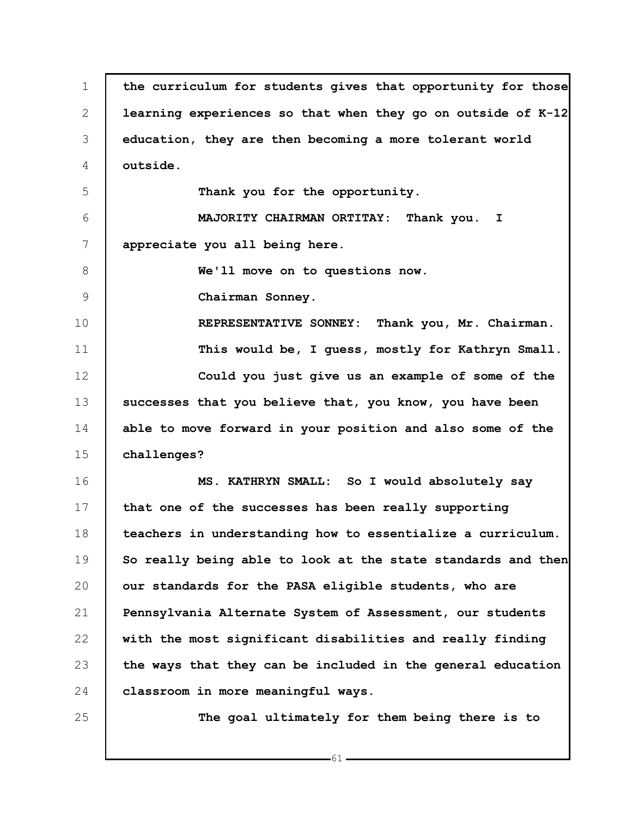1 2 3 4 5 6 7 8 9 10 11 12 13 14 15 16 17 18 19 20 21 22 23 24 25 **the curriculum for students gives that opportunity for those learning experiences so that when they go on outside of K-12 education, they are then becoming a more tolerant world outside. Thank you for the opportunity. MAJORITY CHAIRMAN ORTITAY: Thank you. I appreciate you all being here. We'll move on to questions now. Chairman Sonney. REPRESENTATIVE SONNEY: Thank you, Mr. Chairman. This would be, I guess, mostly for Kathryn Small. Could you just give us an example of some of the successes that you believe that, you know, you have been able to move forward in your position and also some of the challenges? MS. KATHRYN SMALL: So I would absolutely say that one of the successes has been really supporting teachers in understanding how to essentialize a curriculum. So really being able to look at the state standards and then our standards for the PASA eligible students, who are Pennsylvania Alternate System of Assessment, our students with the most significant disabilities and really finding the ways that they can be included in the general education classroom in more meaningful ways. The goal ultimately for them being there is to**

61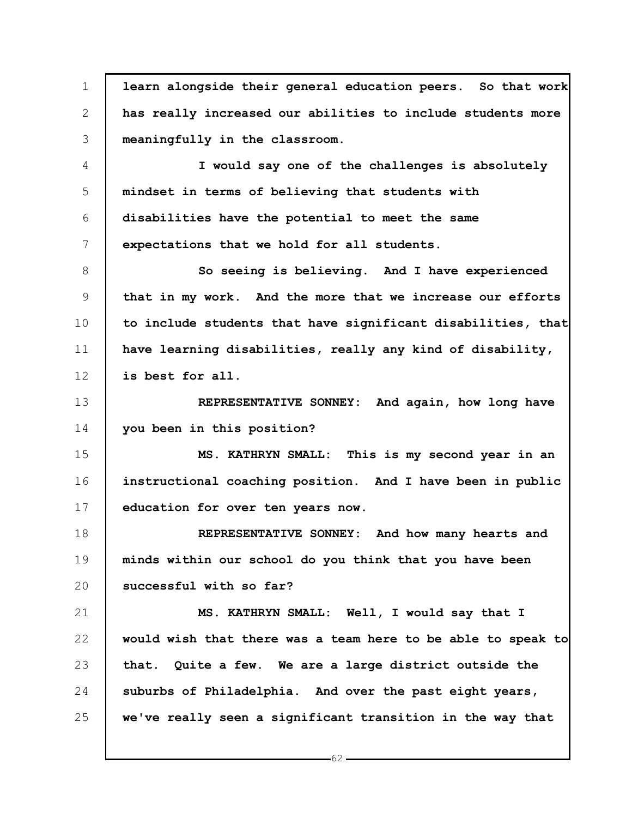1 2 3 4 5 6 7 8 9 10 11 12 13 14 15 16 17 18 19 20 21 22 23 24 25 **learn alongside their general education peers. So that work has really increased our abilities to include students more meaningfully in the classroom. I would say one of the challenges is absolutely mindset in terms of believing that students with disabilities have the potential to meet the same expectations that we hold for all students. So seeing is believing. And I have experienced that in my work. And the more that we increase our efforts to include students that have significant disabilities, that have learning disabilities, really any kind of disability, is best for all. REPRESENTATIVE SONNEY: And again, how long have you been in this position? MS. KATHRYN SMALL: This is my second year in an instructional coaching position. And I have been in public education for over ten years now. REPRESENTATIVE SONNEY: And how many hearts and minds within our school do you think that you have been successful with so far? MS. KATHRYN SMALL: Well, I would say that I would wish that there was a team here to be able to speak to that. Quite a few. We are a large district outside the suburbs of Philadelphia. And over the past eight years, we've really seen a significant transition in the way that**

 $-62 -$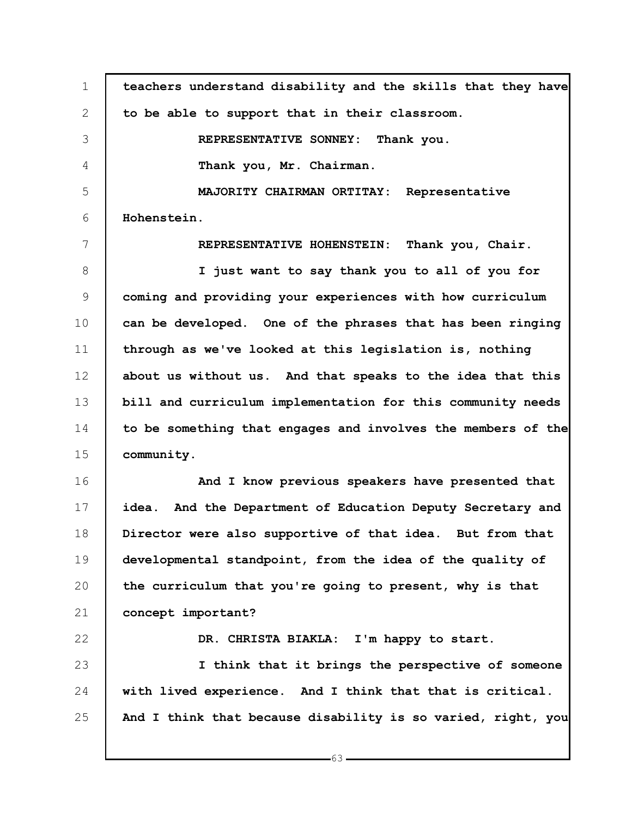1 2 3 4 5 6 7 8 9 10 11 12 13 14 15 16 17 18 19 20 21 22 23 24 25 **teachers understand disability and the skills that they have to be able to support that in their classroom. REPRESENTATIVE SONNEY: Thank you. Thank you, Mr. Chairman. MAJORITY CHAIRMAN ORTITAY: Representative Hohenstein. REPRESENTATIVE HOHENSTEIN: Thank you, Chair. I just want to say thank you to all of you for coming and providing your experiences with how curriculum can be developed. One of the phrases that has been ringing through as we've looked at this legislation is, nothing about us without us. And that speaks to the idea that this bill and curriculum implementation for this community needs to be something that engages and involves the members of the community. And I know previous speakers have presented that idea. And the Department of Education Deputy Secretary and Director were also supportive of that idea. But from that developmental standpoint, from the idea of the quality of the curriculum that you're going to present, why is that concept important? DR. CHRISTA BIAKLA: I'm happy to start. I think that it brings the perspective of someone with lived experience. And I think that that is critical. And I think that because disability is so varied, right, you**

 $-63 -$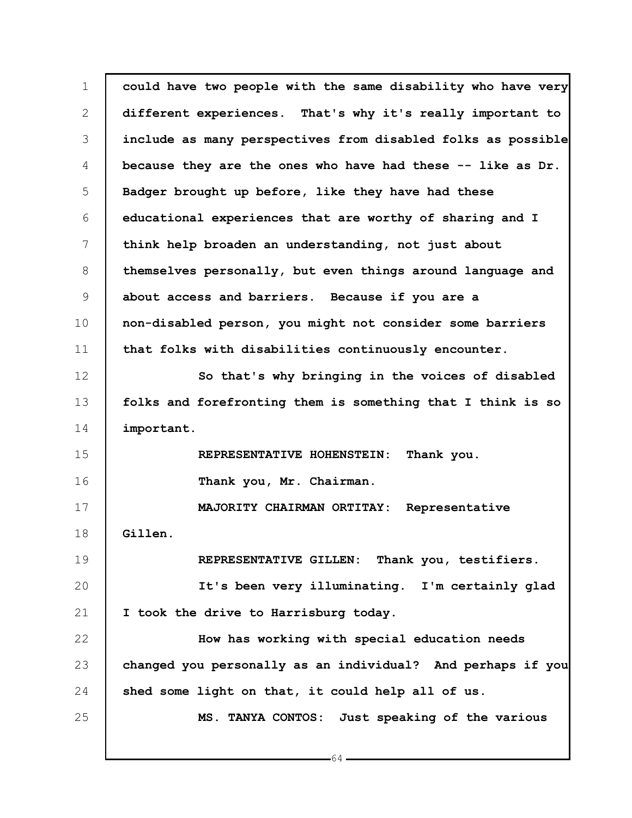1 2 3 4 5 6 7 8 9 10 11 12 13 14 15 16 17 18 19 20 21 22 23 24 25 **could have two people with the same disability who have very different experiences. That's why it's really important to include as many perspectives from disabled folks as possible because they are the ones who have had these -- like as Dr. Badger brought up before, like they have had these educational experiences that are worthy of sharing and I think help broaden an understanding, not just about themselves personally, but even things around language and about access and barriers. Because if you are a non-disabled person, you might not consider some barriers that folks with disabilities continuously encounter. So that's why bringing in the voices of disabled folks and forefronting them is something that I think is so important. REPRESENTATIVE HOHENSTEIN: Thank you. Thank you, Mr. Chairman. MAJORITY CHAIRMAN ORTITAY: Representative Gillen. REPRESENTATIVE GILLEN: Thank you, testifiers. It's been very illuminating. I'm certainly glad I took the drive to Harrisburg today. How has working with special education needs changed you personally as an individual? And perhaps if you shed some light on that, it could help all of us. MS. TANYA CONTOS: Just speaking of the various**

 $-64$ .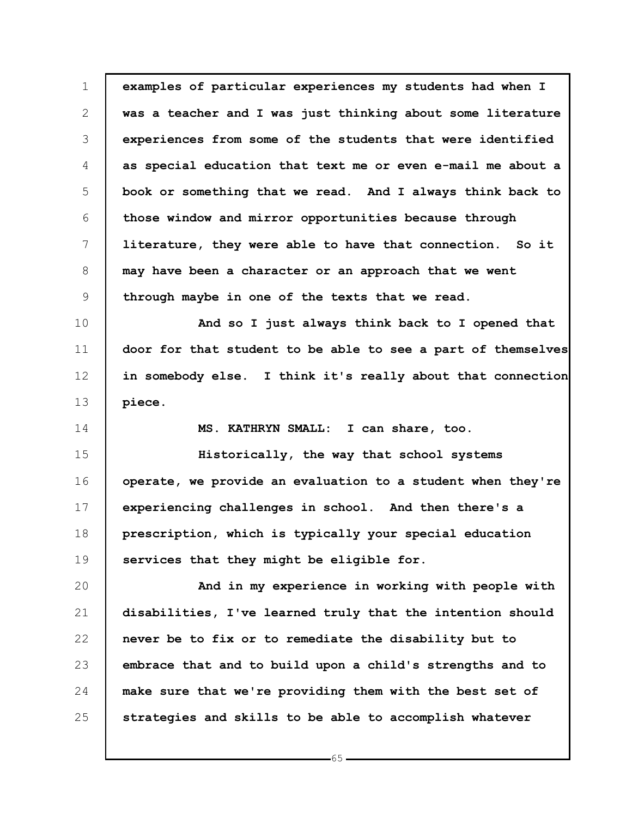1 2 3 4 5 6 7 8 9 10 11 12 13 14 15 16 17 18 19 20 21 22 23 24 25 **examples of particular experiences my students had when I was a teacher and I was just thinking about some literature experiences from some of the students that were identified as special education that text me or even e-mail me about a book or something that we read. And I always think back to those window and mirror opportunities because through literature, they were able to have that connection. So it may have been a character or an approach that we went through maybe in one of the texts that we read. And so I just always think back to I opened that door for that student to be able to see a part of themselves in somebody else. I think it's really about that connection piece. MS. KATHRYN SMALL: I can share, too. Historically, the way that school systems operate, we provide an evaluation to a student when they're experiencing challenges in school. And then there's a prescription, which is typically your special education services that they might be eligible for. And in my experience in working with people with disabilities, I've learned truly that the intention should never be to fix or to remediate the disability but to embrace that and to build upon a child's strengths and to make sure that we're providing them with the best set of strategies and skills to be able to accomplish whatever**

 $-65$ .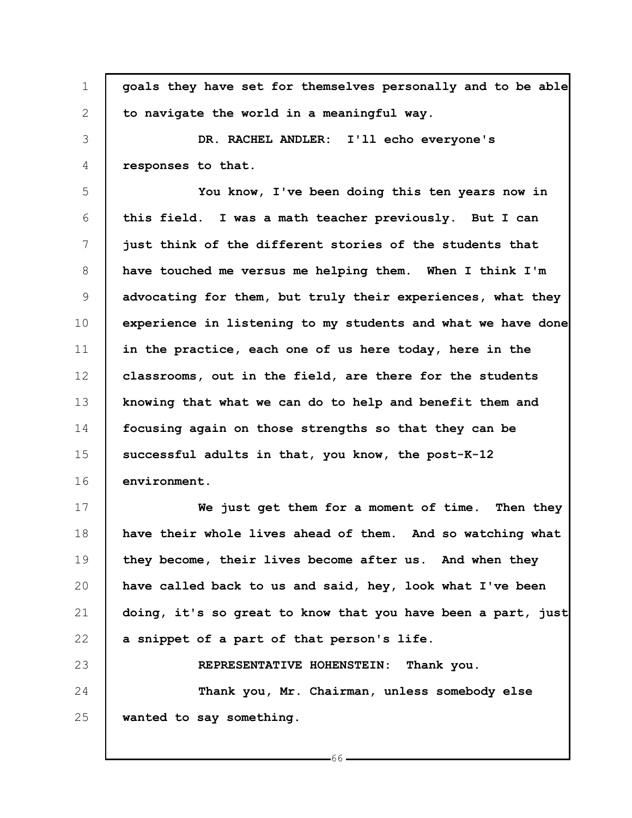1 2 3 4 5 6 7 8 9 10 11 12 13 14 15 16 17 18 19 20 21 22 23 **goals they have set for themselves personally and to be able to navigate the world in a meaningful way. DR. RACHEL ANDLER: I'll echo everyone's responses to that. You know, I've been doing this ten years now in this field. I was a math teacher previously. But I can just think of the different stories of the students that have touched me versus me helping them. When I think I'm advocating for them, but truly their experiences, what they experience in listening to my students and what we have done in the practice, each one of us here today, here in the classrooms, out in the field, are there for the students knowing that what we can do to help and benefit them and focusing again on those strengths so that they can be successful adults in that, you know, the post-K-12 environment. We just get them for a moment of time. Then they have their whole lives ahead of them. And so watching what they become, their lives become after us. And when they have called back to us and said, hey, look what I've been doing, it's so great to know that you have been a part, just a snippet of a part of that person's life. REPRESENTATIVE HOHENSTEIN: Thank you.**

24 25 **Thank you, Mr. Chairman, unless somebody else wanted to say something.**

 $-66-$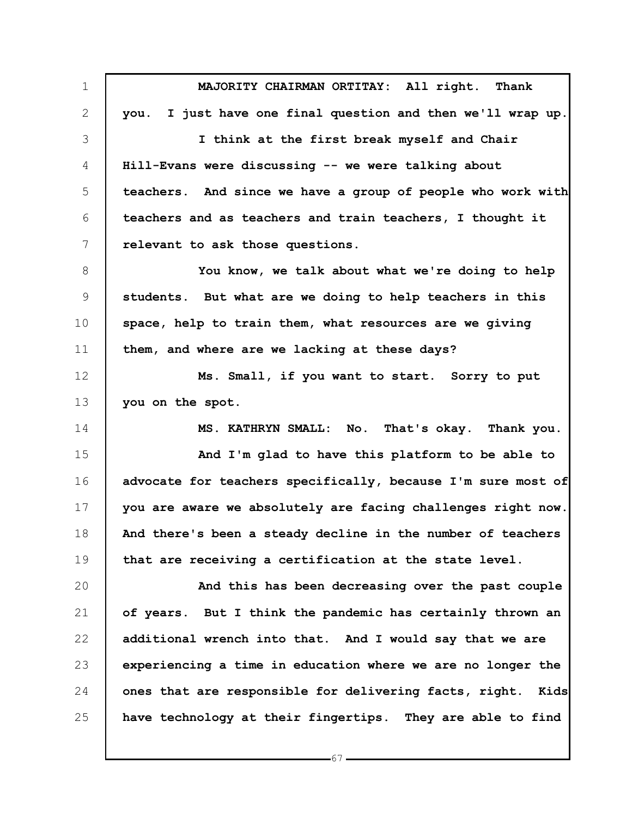1 2 3 4 5 6 7 8 9 10 11 12 13 14 15 16 17 18 19 20 21 22 23 24 25 **MAJORITY CHAIRMAN ORTITAY: All right. Thank you. I just have one final question and then we'll wrap up. I think at the first break myself and Chair Hill-Evans were discussing -- we were talking about teachers. And since we have a group of people who work with teachers and as teachers and train teachers, I thought it relevant to ask those questions. You know, we talk about what we're doing to help students. But what are we doing to help teachers in this space, help to train them, what resources are we giving them, and where are we lacking at these days? Ms. Small, if you want to start. Sorry to put you on the spot. MS. KATHRYN SMALL: No. That's okay. Thank you. And I'm glad to have this platform to be able to advocate for teachers specifically, because I'm sure most of you are aware we absolutely are facing challenges right now. And there's been a steady decline in the number of teachers that are receiving a certification at the state level. And this has been decreasing over the past couple of years. But I think the pandemic has certainly thrown an additional wrench into that. And I would say that we are experiencing a time in education where we are no longer the ones that are responsible for delivering facts, right. Kids have technology at their fingertips. They are able to find**

 $-67 -$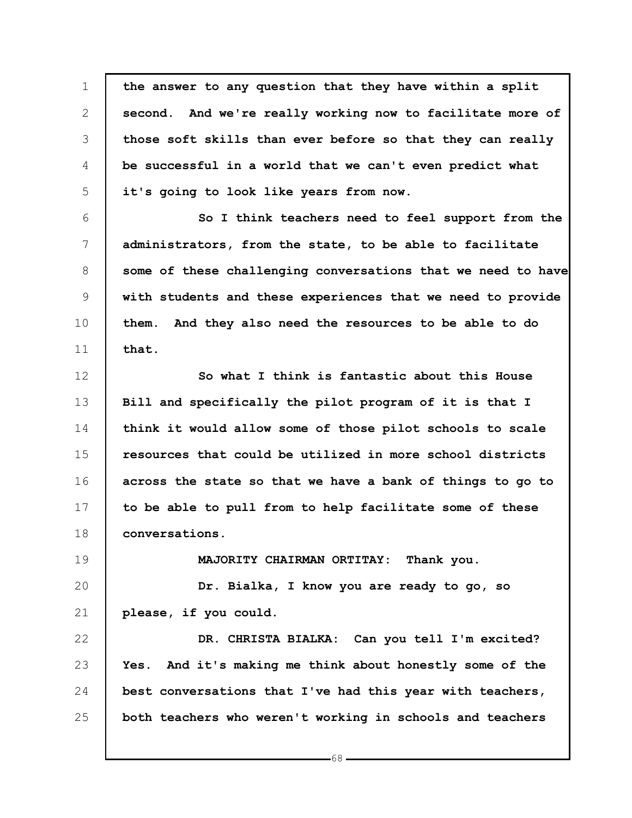1 2 3 4 5 6 7 8 9 10 11 12 13 14 15 16 17 18 19 20 21 22 23 24 25 **the answer to any question that they have within a split second. And we're really working now to facilitate more of those soft skills than ever before so that they can really be successful in a world that we can't even predict what it's going to look like years from now. So I think teachers need to feel support from the administrators, from the state, to be able to facilitate some of these challenging conversations that we need to have with students and these experiences that we need to provide them. And they also need the resources to be able to do that. So what I think is fantastic about this House Bill and specifically the pilot program of it is that I think it would allow some of those pilot schools to scale resources that could be utilized in more school districts across the state so that we have a bank of things to go to to be able to pull from to help facilitate some of these conversations. MAJORITY CHAIRMAN ORTITAY: Thank you. Dr. Bialka, I know you are ready to go, so please, if you could. DR. CHRISTA BIALKA: Can you tell I'm excited? Yes. And it's making me think about honestly some of the best conversations that I've had this year with teachers, both teachers who weren't working in schools and teachers**

 $-68-$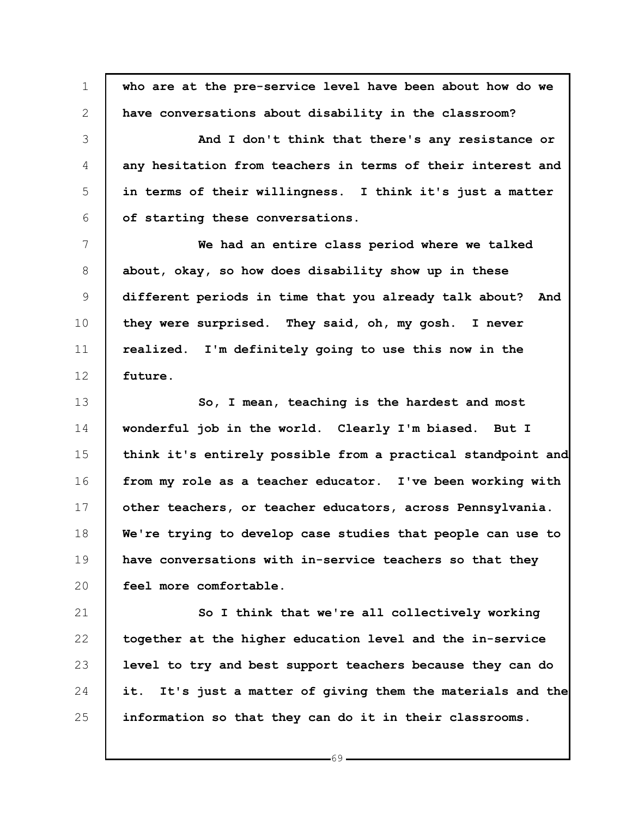1 2 3 4 5 6 7 8 9 10 11 12 13 14 15 16 17 18 19 20 21 22 23 24 25 **who are at the pre-service level have been about how do we have conversations about disability in the classroom? And I don't think that there's any resistance or any hesitation from teachers in terms of their interest and in terms of their willingness. I think it's just a matter of starting these conversations. We had an entire class period where we talked about, okay, so how does disability show up in these different periods in time that you already talk about? And they were surprised. They said, oh, my gosh. I never realized. I'm definitely going to use this now in the future. So, I mean, teaching is the hardest and most wonderful job in the world. Clearly I'm biased. But I think it's entirely possible from a practical standpoint and from my role as a teacher educator. I've been working with other teachers, or teacher educators, across Pennsylvania. We're trying to develop case studies that people can use to have conversations with in-service teachers so that they feel more comfortable. So I think that we're all collectively working together at the higher education level and the in-service level to try and best support teachers because they can do it. It's just a matter of giving them the materials and the information so that they can do it in their classrooms.**

 $-69-$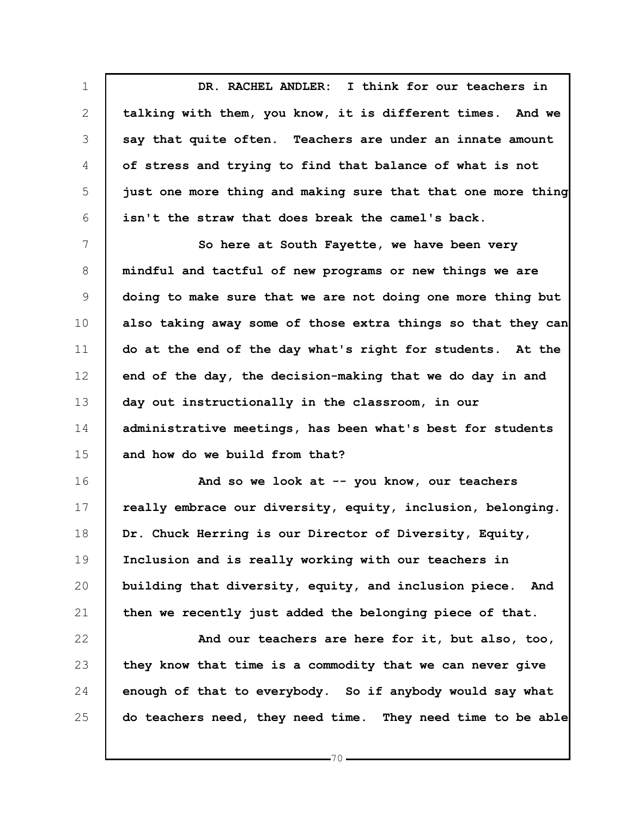1 2 3 4 5 6 **DR. RACHEL ANDLER: I think for our teachers in talking with them, you know, it is different times. And we say that quite often. Teachers are under an innate amount of stress and trying to find that balance of what is not just one more thing and making sure that that one more thing isn't the straw that does break the camel's back.**

7 8 9 10 11 12 13 14 15 **So here at South Fayette, we have been very mindful and tactful of new programs or new things we are doing to make sure that we are not doing one more thing but also taking away some of those extra things so that they can do at the end of the day what's right for students. At the end of the day, the decision-making that we do day in and day out instructionally in the classroom, in our administrative meetings, has been what's best for students and how do we build from that?**

16 17 18 19 20 21 **And so we look at -- you know, our teachers really embrace our diversity, equity, inclusion, belonging. Dr. Chuck Herring is our Director of Diversity, Equity, Inclusion and is really working with our teachers in building that diversity, equity, and inclusion piece. And then we recently just added the belonging piece of that.**

22 23 24 25 **And our teachers are here for it, but also, too, they know that time is a commodity that we can never give enough of that to everybody. So if anybody would say what do teachers need, they need time. They need time to be able**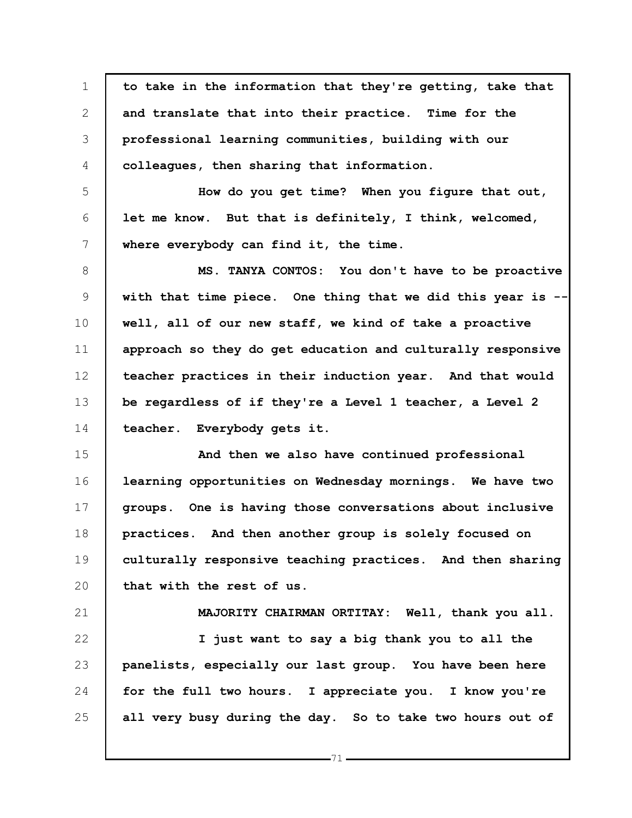1 2 3 4 5 6 7 8 9 10 11 12 13 14 15 16 17 18 19 20 21 22 23 24 25 **to take in the information that they're getting, take that and translate that into their practice. Time for the professional learning communities, building with our colleagues, then sharing that information. How do you get time? When you figure that out, let me know. But that is definitely, I think, welcomed, where everybody can find it, the time. MS. TANYA CONTOS: You don't have to be proactive with that time piece. One thing that we did this year is - well, all of our new staff, we kind of take a proactive approach so they do get education and culturally responsive teacher practices in their induction year. And that would be regardless of if they're a Level 1 teacher, a Level 2 teacher. Everybody gets it. And then we also have continued professional learning opportunities on Wednesday mornings. We have two groups. One is having those conversations about inclusive practices. And then another group is solely focused on culturally responsive teaching practices. And then sharing that with the rest of us. MAJORITY CHAIRMAN ORTITAY: Well, thank you all. I just want to say a big thank you to all the panelists, especially our last group. You have been here for the full two hours. I appreciate you. I know you're all very busy during the day. So to take two hours out of**

71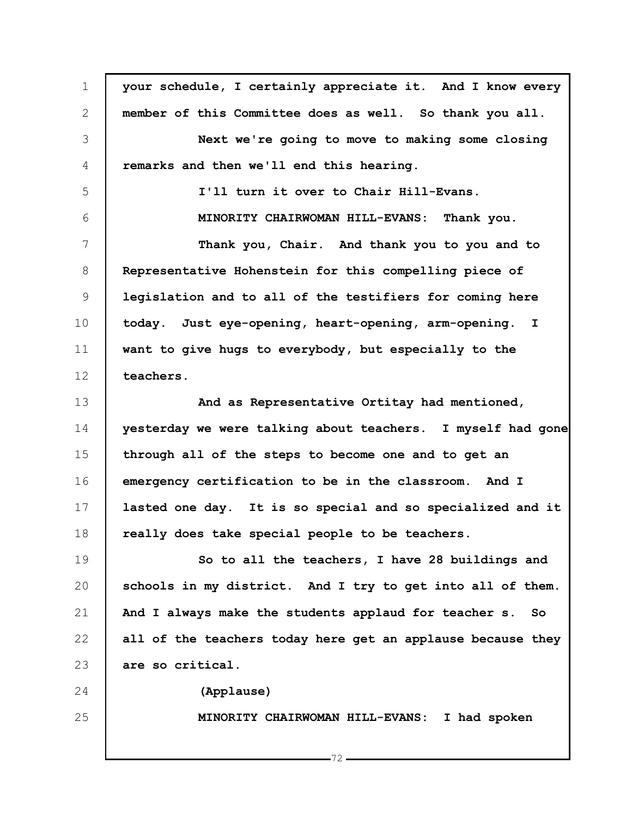| $\mathbf 1$   | your schedule, I certainly appreciate it. And I know every  |
|---------------|-------------------------------------------------------------|
| 2             | member of this Committee does as well. So thank you all.    |
| 3             | Next we're going to move to making some closing             |
| 4             | remarks and then we'll end this hearing.                    |
| 5             | I'll turn it over to Chair Hill-Evans.                      |
| 6             | MINORITY CHAIRWOMAN HILL-EVANS: Thank you.                  |
| 7             | Thank you, Chair. And thank you to you and to               |
| 8             | Representative Hohenstein for this compelling piece of      |
| $\mathcal{G}$ | legislation and to all of the testifiers for coming here    |
| 10            | today. Just eye-opening, heart-opening, arm-opening. I      |
| 11            | want to give hugs to everybody, but especially to the       |
| 12            | teachers.                                                   |
| 13            | And as Representative Ortitay had mentioned,                |
| 14            | yesterday we were talking about teachers. I myself had gone |
| 15            | through all of the steps to become one and to get an        |
| 16            | emergency certification to be in the classroom. And I       |
| 17            | lasted one day. It is so special and so specialized and it  |
| 18            | really does take special people to be teachers.             |
| 19            | So to all the teachers, I have 28 buildings and             |
| 20            | schools in my district. And I try to get into all of them.  |
| 21            | And I always make the students applaud for teacher s.<br>So |
| 22            | all of the teachers today here get an applause because they |
| 23            | are so critical.                                            |
| 24            | (Applause)                                                  |
| 25            | MINORITY CHAIRWOMAN HILL-EVANS: I had spoken                |
|               |                                                             |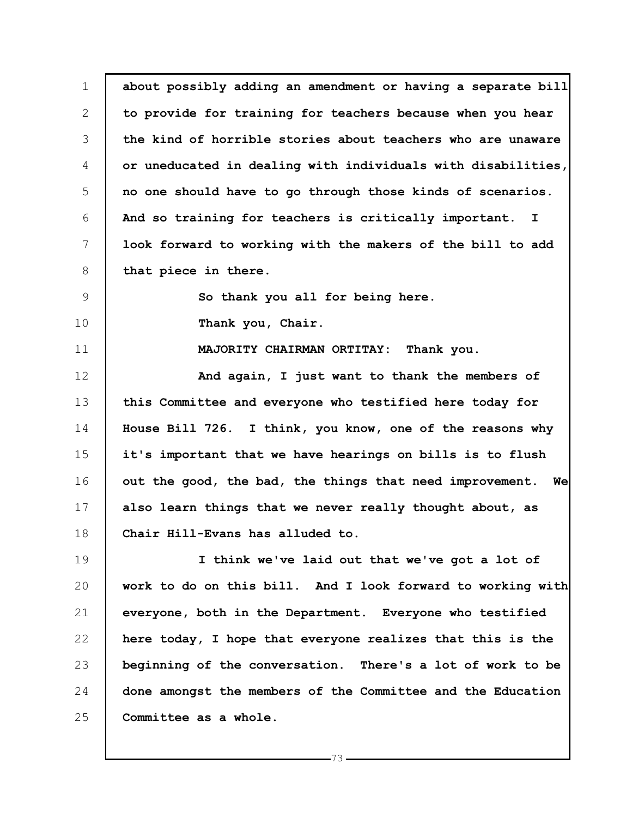1 2 3 4 5 6 7 8 9 10 11 12 13 14 15 16 17 18 19 20 21 22 23 **about possibly adding an amendment or having a separate bill to provide for training for teachers because when you hear the kind of horrible stories about teachers who are unaware or uneducated in dealing with individuals with disabilities, no one should have to go through those kinds of scenarios. And so training for teachers is critically important. I look forward to working with the makers of the bill to add that piece in there. So thank you all for being here. Thank you, Chair. MAJORITY CHAIRMAN ORTITAY: Thank you. And again, I just want to thank the members of this Committee and everyone who testified here today for House Bill 726. I think, you know, one of the reasons why it's important that we have hearings on bills is to flush out the good, the bad, the things that need improvement. We also learn things that we never really thought about, as Chair Hill-Evans has alluded to. I think we've laid out that we've got a lot of work to do on this bill. And I look forward to working with everyone, both in the Department. Everyone who testified here today, I hope that everyone realizes that this is the beginning of the conversation. There's a lot of work to be**

24 25 **done amongst the members of the Committee and the Education Committee as a whole.**

 $-73$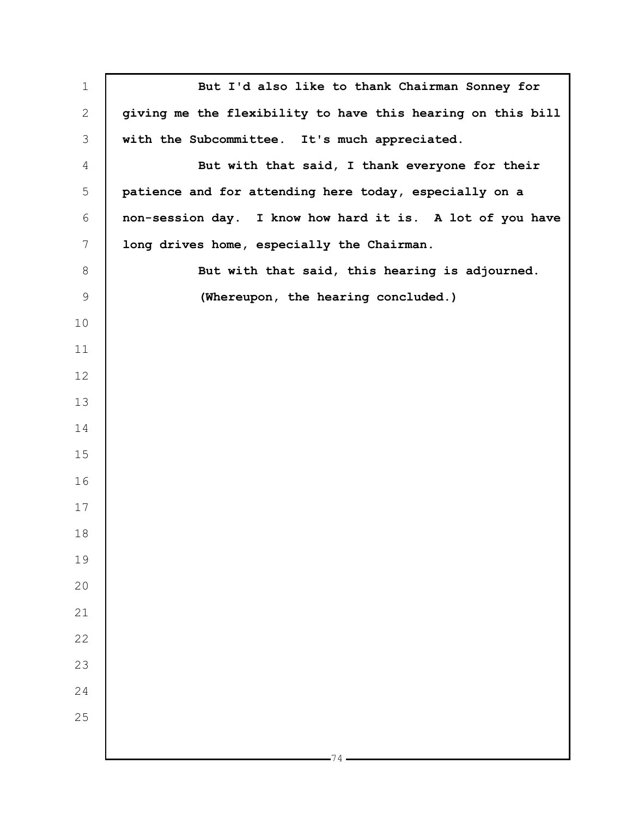| $\mathbf 1$     | But I'd also like to thank Chairman Sonney for              |
|-----------------|-------------------------------------------------------------|
| $\mathbf{2}$    | giving me the flexibility to have this hearing on this bill |
| 3               | with the Subcommittee. It's much appreciated.               |
| 4               | But with that said, I thank everyone for their              |
| 5               | patience and for attending here today, especially on a      |
| 6               | non-session day. I know how hard it is. A lot of you have   |
| $7\phantom{.0}$ | long drives home, especially the Chairman.                  |
| $\,8\,$         | But with that said, this hearing is adjourned.              |
| $\mathsf 9$     | (Whereupon, the hearing concluded.)                         |
| 10              |                                                             |
| 11              |                                                             |
| 12              |                                                             |
| 13              |                                                             |
| 14              |                                                             |
| 15              |                                                             |
| 16              |                                                             |
| 17              |                                                             |
| 18              |                                                             |
| 19              |                                                             |
| 20              |                                                             |
| 21              |                                                             |
| 22              |                                                             |
| 23              |                                                             |
| 24              |                                                             |
| 25              |                                                             |
|                 |                                                             |
|                 | 74                                                          |